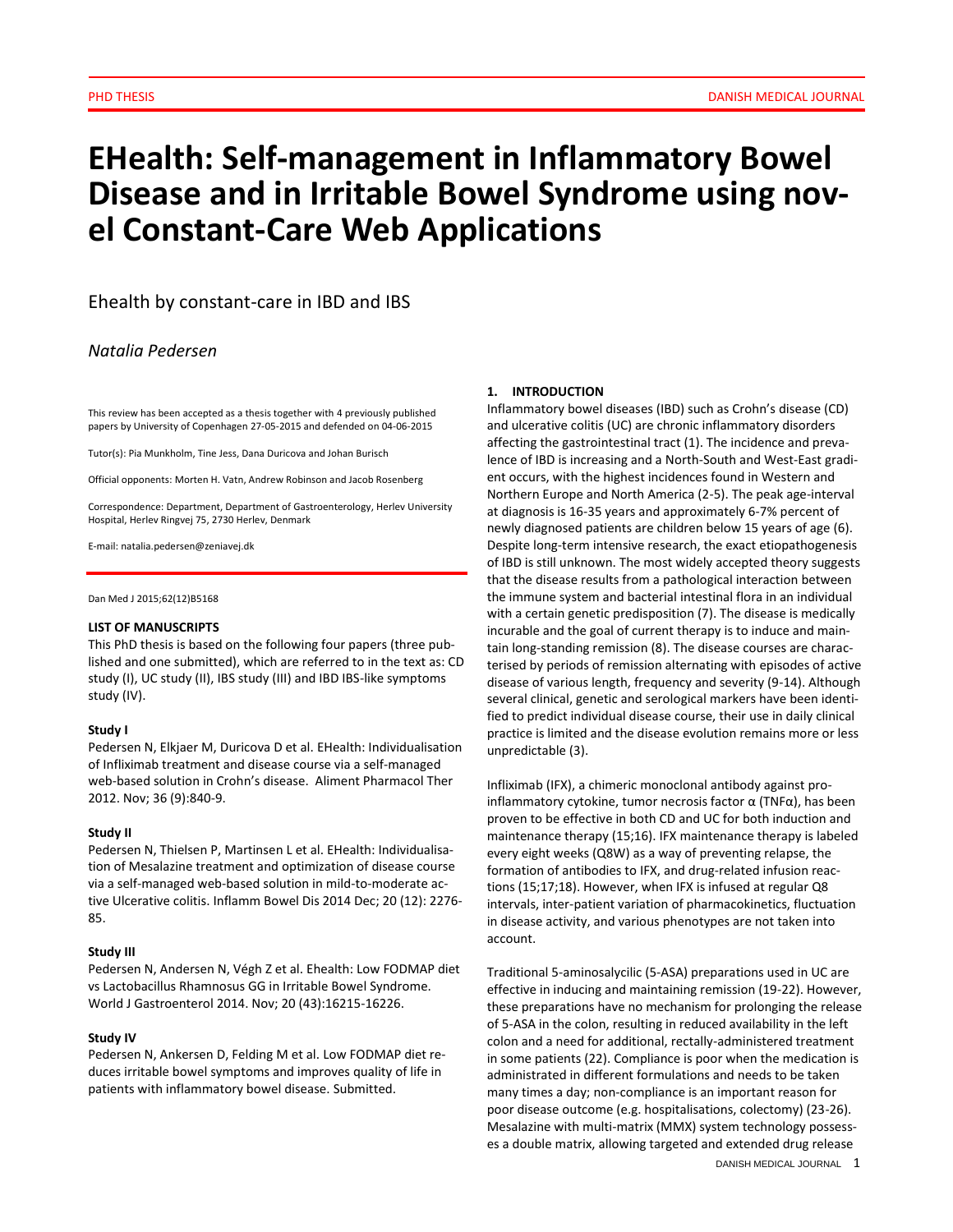# **EHealth: Self-management in Inflammatory Bowel Disease and in Irritable Bowel Syndrome using novel Constant-Care Web Applications**

Ehealth by constant-care in IBD and IBS

*Natalia Pedersen*

This review has been accepted as a thesis together with 4 previously published papers by University of Copenhagen 27-05-2015 and defended on 04-06-2015

Tutor(s): Pia Munkholm, Tine Jess, Dana Duricova and Johan Burisch

Official opponents: Morten H. Vatn, Andrew Robinson and Jacob Rosenberg

Correspondence: Department, Department of Gastroenterology, Herlev University Hospital, Herlev Ringvej 75, 2730 Herlev, Denmark

E-mail: natalia.pedersen@zeniavej.dk

Dan Med J 2015;62(12)B5168

#### **LIST OF MANUSCRIPTS**

This PhD thesis is based on the following four papers (three published and one submitted), which are referred to in the text as: CD study (I), UC study (II), IBS study (III) and IBD IBS-like symptoms study (IV).

#### **Study I**

Pedersen N, Elkjaer M, Duricova D et al. EHealth: Individualisation of Infliximab treatment and disease course via a self-managed web-based solution in Crohn's disease. Aliment Pharmacol Ther 2012. Nov; 36 (9):840-9.

#### **Study II**

Pedersen N, Thielsen P, Martinsen L et al. EHealth: Individualisation of Mesalazine treatment and optimization of disease course via a self-managed web-based solution in mild-to-moderate active Ulcerative colitis. Inflamm Bowel Dis 2014 Dec; 20 (12): 2276- 85.

## **Study III**

Pedersen N, Andersen N, Végh Z et al. Ehealth: Low FODMAP diet vs Lactobacillus Rhamnosus GG in Irritable Bowel Syndrome. World J Gastroenterol 2014. Nov; 20 (43):16215-16226.

#### **Study IV**

Pedersen N, Ankersen D, Felding M et al. Low FODMAP diet reduces irritable bowel symptoms and improves quality of life in patients with inflammatory bowel disease. Submitted.

#### **1. INTRODUCTION**

Inflammatory bowel diseases (IBD) such as Crohn's disease (CD) and ulcerative colitis (UC) are chronic inflammatory disorders affecting the gastrointestinal tract (1). The incidence and prevalence of IBD is increasing and a North-South and West-East gradient occurs, with the highest incidences found in Western and Northern Europe and North America (2-5). The peak age-interval at diagnosis is 16-35 years and approximately 6-7% percent of newly diagnosed patients are children below 15 years of age (6). Despite long-term intensive research, the exact etiopathogenesis of IBD is still unknown. The most widely accepted theory suggests that the disease results from a pathological interaction between the immune system and bacterial intestinal flora in an individual with a certain genetic predisposition (7). The disease is medically incurable and the goal of current therapy is to induce and maintain long-standing remission (8). The disease courses are characterised by periods of remission alternating with episodes of active disease of various length, frequency and severity (9-14). Although several clinical, genetic and serological markers have been identified to predict individual disease course, their use in daily clinical practice is limited and the disease evolution remains more or less unpredictable (3).

Infliximab (IFX), a chimeric monoclonal antibody against proinflammatory cytokine, tumor necrosis factor  $\alpha$  (TNFα), has been proven to be effective in both CD and UC for both induction and maintenance therapy (15;16). IFX maintenance therapy is labeled every eight weeks (Q8W) as a way of preventing relapse, the formation of antibodies to IFX, and drug-related infusion reactions (15;17;18). However, when IFX is infused at regular Q8 intervals, inter-patient variation of pharmacokinetics, fluctuation in disease activity, and various phenotypes are not taken into account.

Traditional 5-aminosalycilic (5-ASA) preparations used in UC are effective in inducing and maintaining remission (19-22). However, these preparations have no mechanism for prolonging the release of 5-ASA in the colon, resulting in reduced availability in the left colon and a need for additional, rectally-administered treatment in some patients (22). Compliance is poor when the medication is administrated in different formulations and needs to be taken many times a day; non-compliance is an important reason for poor disease outcome (e.g. hospitalisations, colectomy) (23-26). Mesalazine with multi-matrix (MMX) system technology possesses a double matrix, allowing targeted and extended drug release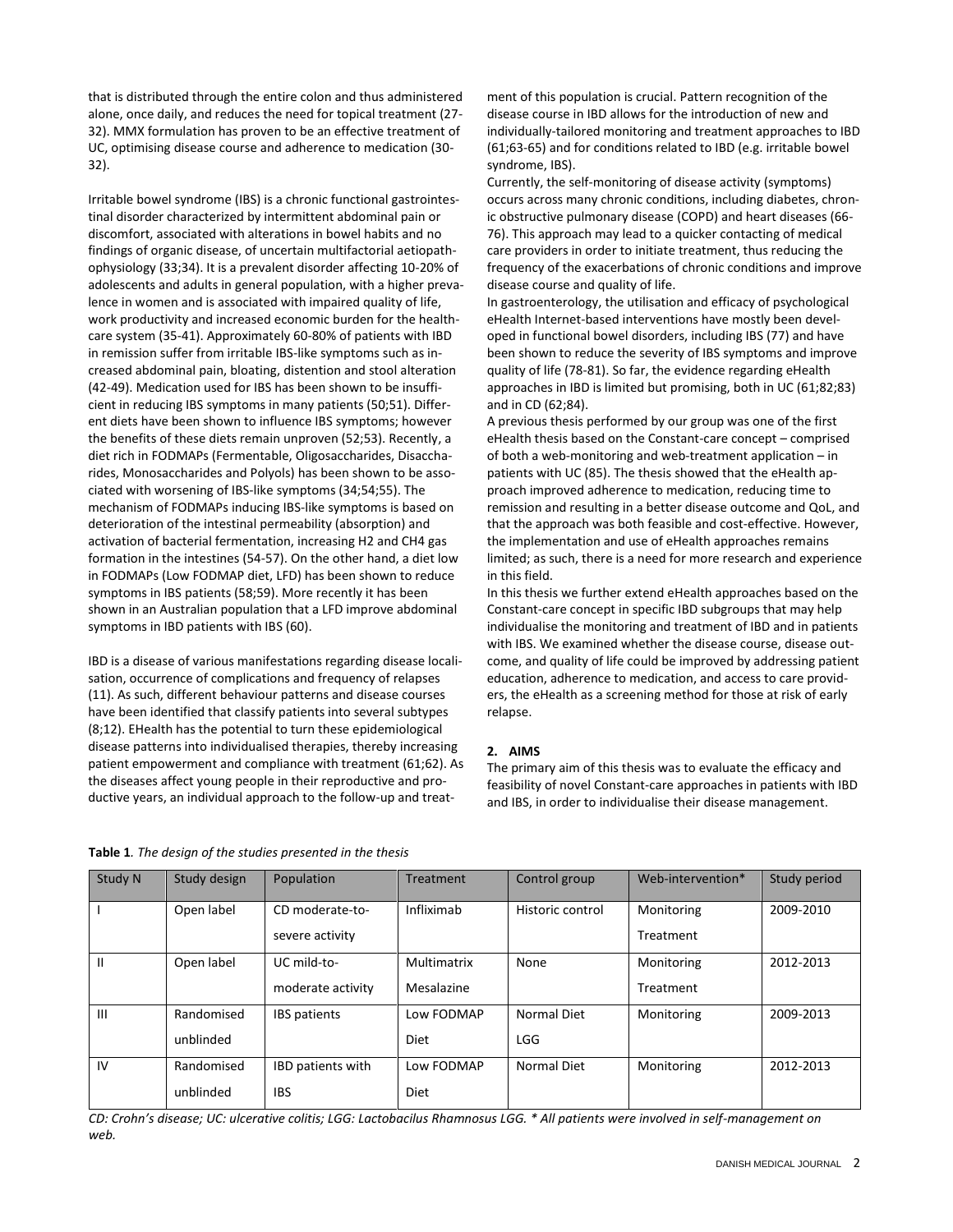that is distributed through the entire colon and thus administered alone, once daily, and reduces the need for topical treatment (27- 32). MMX formulation has proven to be an effective treatment of UC, optimising disease course and adherence to medication (30- 32).

Irritable bowel syndrome (IBS) is a chronic functional gastrointestinal disorder characterized by intermittent abdominal pain or discomfort, associated with alterations in bowel habits and no findings of organic disease, of uncertain multifactorial aetiopathophysiology (33;34). It is a prevalent disorder affecting 10-20% of adolescents and adults in general population, with a higher prevalence in women and is associated with impaired quality of life, work productivity and increased economic burden for the healthcare system (35-41). Approximately 60-80% of patients with IBD in remission suffer from irritable IBS-like symptoms such as increased abdominal pain, bloating, distention and stool alteration (42-49). Medication used for IBS has been shown to be insufficient in reducing IBS symptoms in many patients (50;51). Different diets have been shown to influence IBS symptoms; however the benefits of these diets remain unproven (52;53). Recently, a diet rich in FODMAPs (Fermentable, Oligosaccharides, Disaccharides, Monosaccharides and Polyols) has been shown to be associated with worsening of IBS-like symptoms (34;54;55). The mechanism of FODMAPs inducing IBS-like symptoms is based on deterioration of the intestinal permeability (absorption) and activation of bacterial fermentation, increasing H2 and CH4 gas formation in the intestines (54-57). On the other hand, a diet low in FODMAPs (Low FODMAP diet, LFD) has been shown to reduce symptoms in IBS patients (58;59). More recently it has been shown in an Australian population that a LFD improve abdominal symptoms in IBD patients with IBS (60).

IBD is a disease of various manifestations regarding disease localisation, occurrence of complications and frequency of relapses (11). As such, different behaviour patterns and disease courses have been identified that classify patients into several subtypes (8;12). EHealth has the potential to turn these epidemiological disease patterns into individualised therapies, thereby increasing patient empowerment and compliance with treatment (61;62). As the diseases affect young people in their reproductive and productive years, an individual approach to the follow-up and treatment of this population is crucial. Pattern recognition of the disease course in IBD allows for the introduction of new and individually-tailored monitoring and treatment approaches to IBD (61;63-65) and for conditions related to IBD (e.g. irritable bowel syndrome, IBS).

Currently, the self-monitoring of disease activity (symptoms) occurs across many chronic conditions, including diabetes, chronic obstructive pulmonary disease (COPD) and heart diseases (66- 76). This approach may lead to a quicker contacting of medical care providers in order to initiate treatment, thus reducing the frequency of the exacerbations of chronic conditions and improve disease course and quality of life.

In gastroenterology, the utilisation and efficacy of psychological eHealth Internet-based interventions have mostly been developed in functional bowel disorders, including IBS (77) and have been shown to reduce the severity of IBS symptoms and improve quality of life (78-81). So far, the evidence regarding eHealth approaches in IBD is limited but promising, both in UC (61;82;83) and in CD (62;84).

A previous thesis performed by our group was one of the first eHealth thesis based on the Constant-care concept – comprised of both a web-monitoring and web-treatment application – in patients with UC (85). The thesis showed that the eHealth approach improved adherence to medication, reducing time to remission and resulting in a better disease outcome and QoL, and that the approach was both feasible and cost-effective. However, the implementation and use of eHealth approaches remains limited; as such, there is a need for more research and experience in this field.

In this thesis we further extend eHealth approaches based on the Constant-care concept in specific IBD subgroups that may help individualise the monitoring and treatment of IBD and in patients with IBS. We examined whether the disease course, disease outcome, and quality of life could be improved by addressing patient education, adherence to medication, and access to care providers, the eHealth as a screening method for those at risk of early relapse.

## **2. AIMS**

The primary aim of this thesis was to evaluate the efficacy and feasibility of novel Constant-care approaches in patients with IBD and IBS, in order to individualise their disease management.

| <b>Table 1</b> . The design of the studies presented in the thesis |  |
|--------------------------------------------------------------------|--|
|--------------------------------------------------------------------|--|

| Study N        | Study design | Population               | Treatment   | Control group    | Web-intervention* | Study period |
|----------------|--------------|--------------------------|-------------|------------------|-------------------|--------------|
|                | Open label   | CD moderate-to-          | Infliximab  | Historic control | Monitoring        | 2009-2010    |
|                |              | severe activity          |             |                  | Treatment         |              |
| Ш              | Open label   | UC mild-to-              | Multimatrix | None             | Monitoring        | 2012-2013    |
|                |              | moderate activity        | Mesalazine  |                  | Treatment         |              |
| $\mathbf{III}$ | Randomised   | <b>IBS</b> patients      | Low FODMAP  | Normal Diet      | Monitoring        | 2009-2013    |
|                | unblinded    |                          | Diet        | LGG              |                   |              |
| IV             | Randomised   | <b>IBD</b> patients with | Low FODMAP  | Normal Diet      | Monitoring        | 2012-2013    |
|                | unblinded    | <b>IBS</b>               | Diet        |                  |                   |              |

*CD: Crohn's disease; UC: ulcerative colitis; LGG: Lactobacilus Rhamnosus LGG. \* All patients were involved in self-management on web.*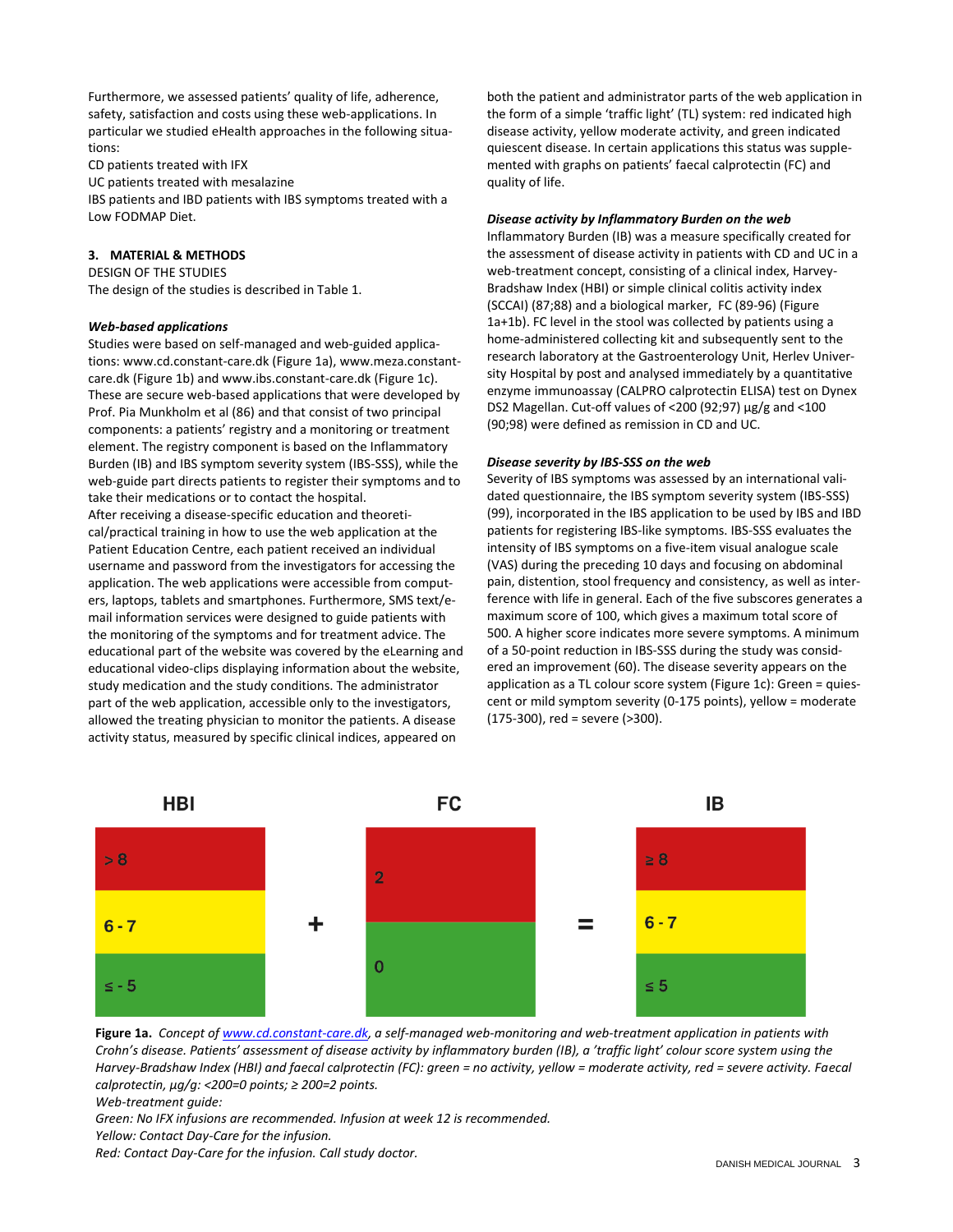Furthermore, we assessed patients' quality of life, adherence, safety, satisfaction and costs using these web-applications. In particular we studied eHealth approaches in the following situations:

CD patients treated with IFX

UC patients treated with mesalazine

IBS patients and IBD patients with IBS symptoms treated with a Low FODMAP Diet.

# **3. MATERIAL & METHODS**

DESIGN OF THE STUDIES The design of the studies is described in Table 1.

# *Web-based applications*

Studies were based on self-managed and web-guided applications: www.cd.constant-care.dk (Figure 1a), www.meza.constantcare.dk (Figure 1b) and www.ibs.constant-care.dk (Figure 1c). These are secure web-based applications that were developed by Prof. Pia Munkholm et al (86) and that consist of two principal components: a patients' registry and a monitoring or treatment element. The registry component is based on the Inflammatory Burden (IB) and IBS symptom severity system (IBS-SSS), while the web-guide part directs patients to register their symptoms and to take their medications or to contact the hospital. After receiving a disease-specific education and theoretical/practical training in how to use the web application at the Patient Education Centre, each patient received an individual username and password from the investigators for accessing the application. The web applications were accessible from computers, laptops, tablets and smartphones. Furthermore, SMS text/email information services were designed to guide patients with the monitoring of the symptoms and for treatment advice. The educational part of the website was covered by the eLearning and educational video-clips displaying information about the website, study medication and the study conditions. The administrator part of the web application, accessible only to the investigators, allowed the treating physician to monitor the patients. A disease activity status, measured by specific clinical indices, appeared on

both the patient and administrator parts of the web application in the form of a simple 'traffic light' (TL) system: red indicated high disease activity, yellow moderate activity, and green indicated quiescent disease. In certain applications this status was supplemented with graphs on patients' faecal calprotectin (FC) and quality of life.

# *Disease activity by Inflammatory Burden on the web*

Inflammatory Burden (IB) was a measure specifically created for the assessment of disease activity in patients with CD and UC in a web-treatment concept, consisting of a clinical index, Harvey-Bradshaw Index (HBI) or simple clinical colitis activity index (SCCAI) (87;88) and a biological marker, FC (89-96) (Figure 1a+1b). FC level in the stool was collected by patients using a home-administered collecting kit and subsequently sent to the research laboratory at the Gastroenterology Unit, Herlev University Hospital by post and analysed immediately by a quantitative enzyme immunoassay (CALPRO calprotectin ELISA) test on Dynex DS2 Magellan. Cut-off values of <200 (92;97) µg/g and <100 (90;98) were defined as remission in CD and UC.

# *Disease severity by IBS-SSS on the web*

Severity of IBS symptoms was assessed by an international validated questionnaire, the IBS symptom severity system (IBS-SSS) (99), incorporated in the IBS application to be used by IBS and IBD patients for registering IBS-like symptoms. IBS-SSS evaluates the intensity of IBS symptoms on a five-item visual analogue scale (VAS) during the preceding 10 days and focusing on abdominal pain, distention, stool frequency and consistency, as well as interference with life in general. Each of the five subscores generates a maximum score of 100, which gives a maximum total score of 500. A higher score indicates more severe symptoms. A minimum of a 50-point reduction in IBS-SSS during the study was considered an improvement (60). The disease severity appears on the application as a TL colour score system (Figure 1c): Green = quiescent or mild symptom severity (0-175 points), yellow = moderate (175-300), red = severe (>300).



**Figure 1a.** *Concept of [www.cd.constant-care.dk,](http://www.cd.constant-care.dk/) a self-managed web-monitoring and web-treatment application in patients with Crohn's disease. Patients' assessment of disease activity by inflammatory burden (IB), a 'traffic light' colour score system using the Harvey-Bradshaw Index (HBI) and faecal calprotectin (FC): green = no activity, yellow = moderate activity, red = severe activity. Faecal calprotectin, µg/g: <200=0 points; ≥ 200=2 points.*

*Web-treatment guide:*

*Green: No IFX infusions are recommended. Infusion at week 12 is recommended. Yellow: Contact Day-Care for the infusion.*

*Red: Contact Day-Care for the infusion. Call study doctor.*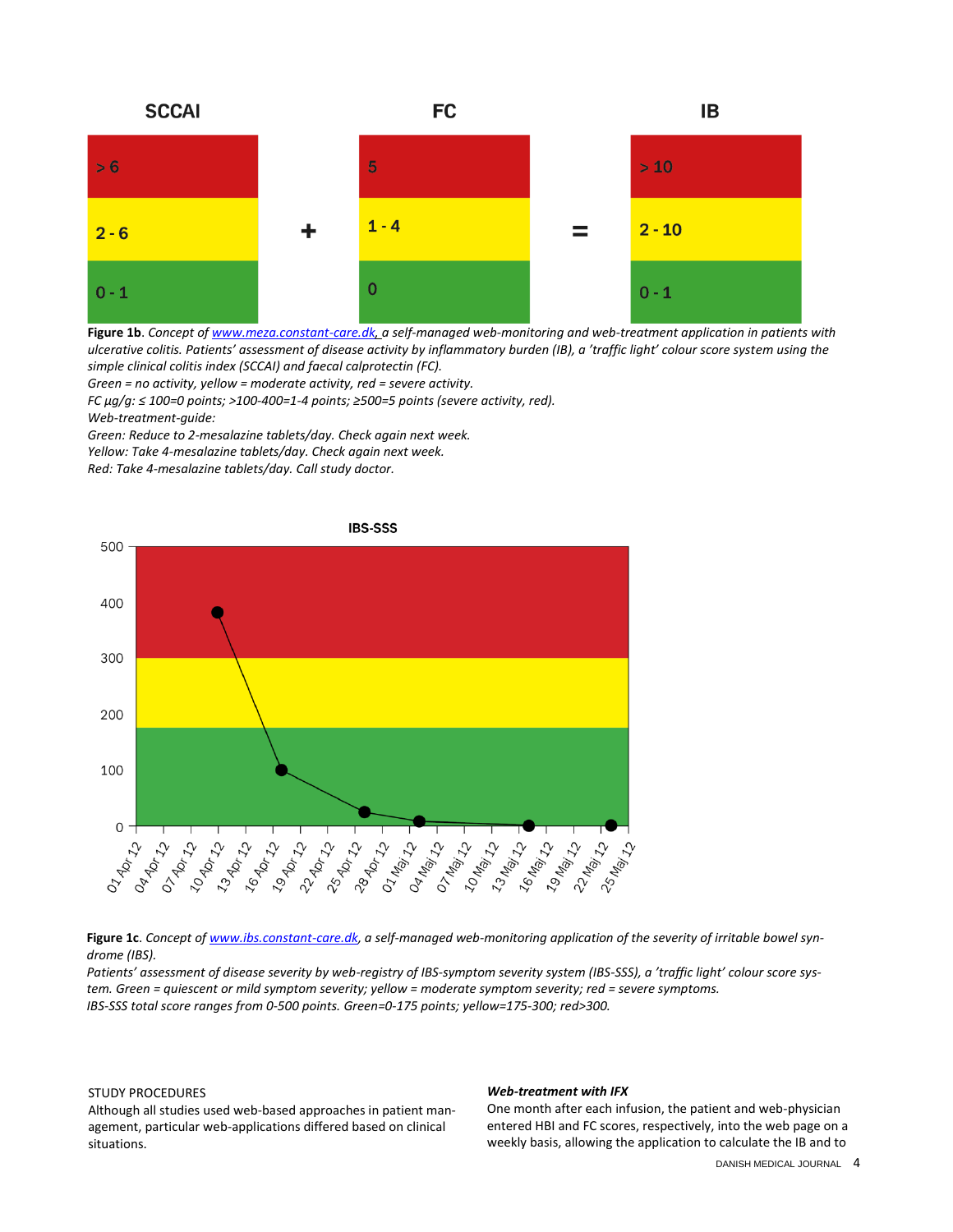

**Figure 1b**. *Concept o[f www.meza.constant-care.dk,](http://www.meza.constant-care.dk/) a self-managed web-monitoring and web-treatment application in patients with ulcerative colitis. Patients' assessment of disease activity by inflammatory burden (IB), a 'traffic light' colour score system using the simple clinical colitis index (SCCAI) and faecal calprotectin (FC).*

*Green = no activity, yellow = moderate activity, red = severe activity. FC µg/g: ≤ 100=0 points; >100-400=1-4 points; ≥500=5 points (severe activity, red). Web-treatment-guide:*

*Green: Reduce to 2-mesalazine tablets/day. Check again next week. Yellow: Take 4-mesalazine tablets/day. Check again next week.*

*Red: Take 4-mesalazine tablets/day. Call study doctor.*



**Figure 1c**. *Concept o[f www.ibs.constant-care.dk,](http://www.ibs.constant-care.dk/) a self-managed web-monitoring application of the severity of irritable bowel syndrome (IBS).*

*Patients' assessment of disease severity by web-registry of IBS-symptom severity system (IBS-SSS), a 'traffic light' colour score system. Green = quiescent or mild symptom severity; yellow = moderate symptom severity; red = severe symptoms. IBS-SSS total score ranges from 0-500 points. Green=0-175 points; yellow=175-300; red>300.* 

## STUDY PROCEDURES

Although all studies used web-based approaches in patient management, particular web-applications differed based on clinical situations.

#### *Web-treatment with IFX*

One month after each infusion, the patient and web-physician entered HBI and FC scores, respectively, into the web page on a weekly basis, allowing the application to calculate the IB and to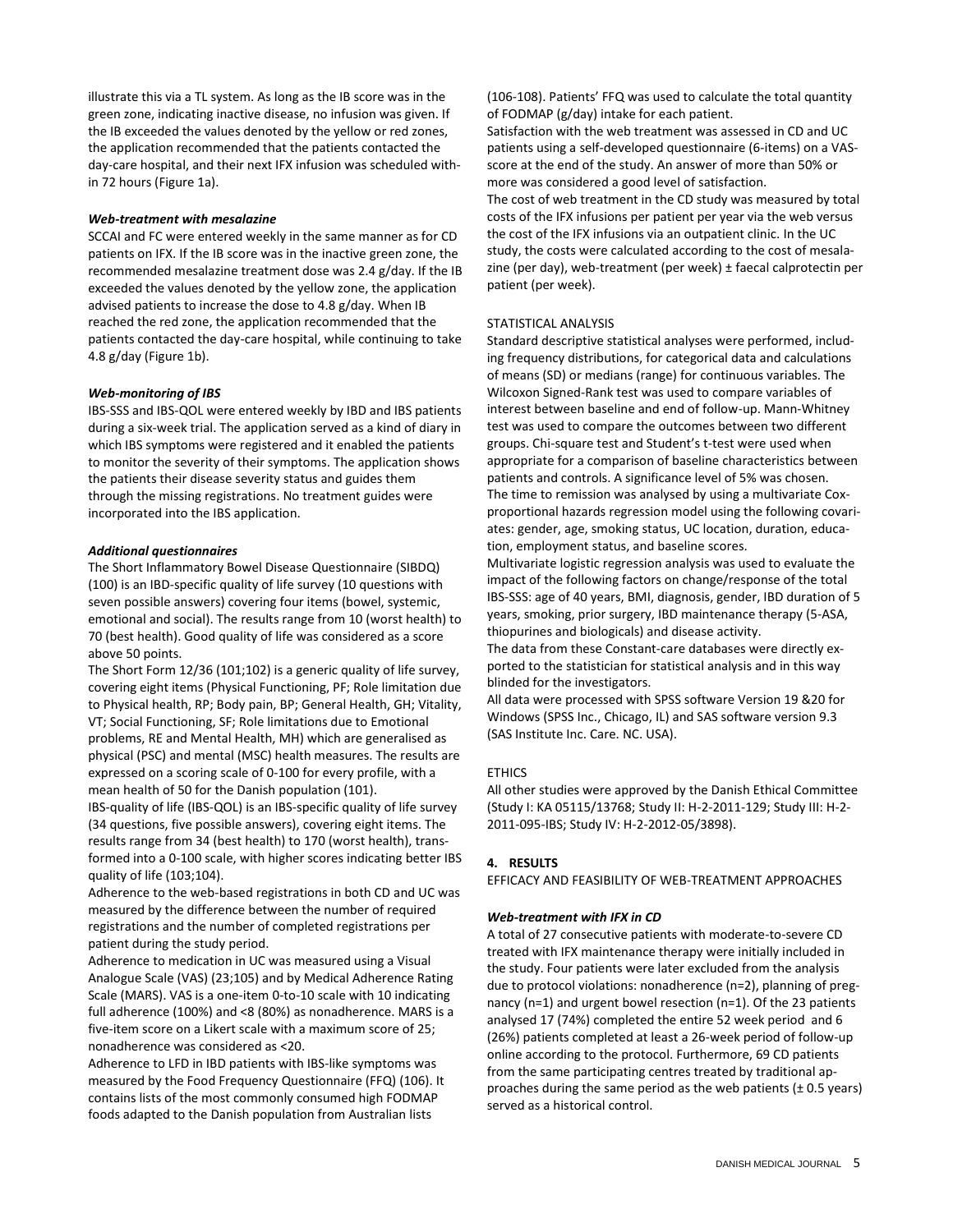illustrate this via a TL system. As long as the IB score was in the green zone, indicating inactive disease, no infusion was given. If the IB exceeded the values denoted by the yellow or red zones, the application recommended that the patients contacted the day-care hospital, and their next IFX infusion was scheduled within 72 hours (Figure 1a).

## *Web-treatment with mesalazine*

SCCAI and FC were entered weekly in the same manner as for CD patients on IFX. If the IB score was in the inactive green zone, the recommended mesalazine treatment dose was 2.4 g/day. If the IB exceeded the values denoted by the yellow zone, the application advised patients to increase the dose to 4.8 g/day. When IB reached the red zone, the application recommended that the patients contacted the day-care hospital, while continuing to take 4.8 g/day (Figure 1b).

## *Web-monitoring of IBS*

IBS-SSS and IBS-QOL were entered weekly by IBD and IBS patients during a six-week trial. The application served as a kind of diary in which IBS symptoms were registered and it enabled the patients to monitor the severity of their symptoms. The application shows the patients their disease severity status and guides them through the missing registrations. No treatment guides were incorporated into the IBS application.

## *Additional questionnaires*

The Short Inflammatory Bowel Disease Questionnaire (SIBDQ) (100) is an IBD-specific quality of life survey (10 questions with seven possible answers) covering four items (bowel, systemic, emotional and social). The results range from 10 (worst health) to 70 (best health). Good quality of life was considered as a score above 50 points.

The Short Form 12/36 (101;102) is a generic quality of life survey, covering eight items (Physical Functioning, PF; Role limitation due to Physical health, RP; Body pain, BP; General Health, GH; Vitality, VT; Social Functioning, SF; Role limitations due to Emotional problems, RE and Mental Health, MH) which are generalised as physical (PSC) and mental (MSC) health measures. The results are expressed on a scoring scale of 0-100 for every profile, with a mean health of 50 for the Danish population (101). IBS-quality of life (IBS-QOL) is an IBS-specific quality of life survey

(34 questions, five possible answers), covering eight items. The results range from 34 (best health) to 170 (worst health), transformed into a 0-100 scale, with higher scores indicating better IBS quality of life (103;104).

Adherence to the web-based registrations in both CD and UC was measured by the difference between the number of required registrations and the number of completed registrations per patient during the study period.

Adherence to medication in UC was measured using a Visual Analogue Scale (VAS) (23;105) and by Medical Adherence Rating Scale (MARS). VAS is a one-item 0-to-10 scale with 10 indicating full adherence (100%) and <8 (80%) as nonadherence. MARS is a five-item score on a Likert scale with a maximum score of 25; nonadherence was considered as <20.

Adherence to LFD in IBD patients with IBS-like symptoms was measured by the Food Frequency Questionnaire (FFQ) (106). It contains lists of the most commonly consumed high FODMAP foods adapted to the Danish population from Australian lists

(106-108). Patients' FFQ was used to calculate the total quantity of FODMAP (g/day) intake for each patient.

Satisfaction with the web treatment was assessed in CD and UC patients using a self-developed questionnaire (6-items) on a VASscore at the end of the study. An answer of more than 50% or more was considered a good level of satisfaction.

The cost of web treatment in the CD study was measured by total costs of the IFX infusions per patient per year via the web versus the cost of the IFX infusions via an outpatient clinic. In the UC study, the costs were calculated according to the cost of mesalazine (per day), web-treatment (per week) ± faecal calprotectin per patient (per week).

## STATISTICAL ANALYSIS

Standard descriptive statistical analyses were performed, including frequency distributions, for categorical data and calculations of means (SD) or medians (range) for continuous variables. The Wilcoxon Signed-Rank test was used to compare variables of interest between baseline and end of follow-up. Mann-Whitney test was used to compare the outcomes between two different groups. Chi-square test and Student's t-test were used when appropriate for a comparison of baseline characteristics between patients and controls. A significance level of 5% was chosen. The time to remission was analysed by using a multivariate Coxproportional hazards regression model using the following covariates: gender, age, smoking status, UC location, duration, education, employment status, and baseline scores.

Multivariate logistic regression analysis was used to evaluate the impact of the following factors on change/response of the total IBS-SSS: age of 40 years, BMI, diagnosis, gender, IBD duration of 5 years, smoking, prior surgery, IBD maintenance therapy (5-ASA, thiopurines and biologicals) and disease activity.

The data from these Constant-care databases were directly exported to the statistician for statistical analysis and in this way blinded for the investigators.

All data were processed with SPSS software Version 19 &20 for Windows (SPSS Inc., Chicago, IL) and SAS software version 9.3 (SAS Institute Inc. Care. NC. USA).

## **FTHICS**

All other studies were approved by the Danish Ethical Committee (Study I: KA 05115/13768; Study II: H-2-2011-129; Study III: H-2- 2011-095-IBS; Study IV: H-2-2012-05/3898).

## **4. RESULTS**

EFFICACY AND FEASIBILITY OF WEB-TREATMENT APPROACHES

## *Web-treatment with IFX in CD*

A total of 27 consecutive patients with moderate-to-severe CD treated with IFX maintenance therapy were initially included in the study. Four patients were later excluded from the analysis due to protocol violations: nonadherence (n=2), planning of pregnancy (n=1) and urgent bowel resection (n=1). Of the 23 patients analysed 17 (74%) completed the entire 52 week period and 6 (26%) patients completed at least a 26-week period of follow-up online according to the protocol. Furthermore, 69 CD patients from the same participating centres treated by traditional approaches during the same period as the web patients  $(\pm 0.5 \text{ years})$ served as a historical control.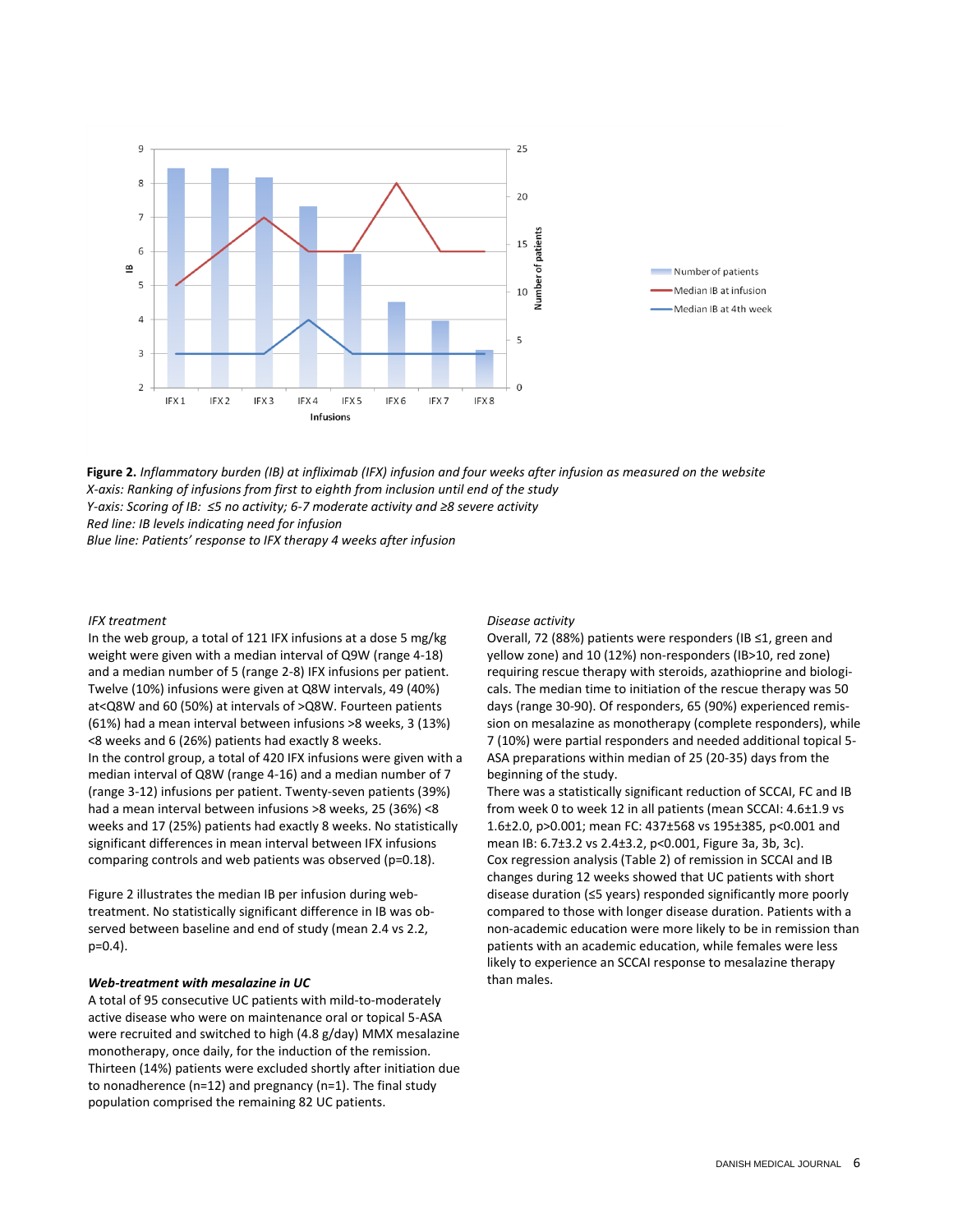

**Figure 2.** *Inflammatory burden (IB) at infliximab (IFX) infusion and four weeks after infusion as measured on the website X-axis: Ranking of infusions from first to eighth from inclusion until end of the study Y-axis: Scoring of IB: ≤5 no activity; 6-7 moderate activity and ≥8 severe activity Red line: IB levels indicating need for infusion Blue line: Patients' response to IFX therapy 4 weeks after infusion*

### *IFX treatment*

In the web group, a total of 121 IFX infusions at a dose 5 mg/kg weight were given with a median interval of Q9W (range 4-18) and a median number of 5 (range 2-8) IFX infusions per patient. Twelve (10%) infusions were given at Q8W intervals, 49 (40%) at<Q8W and 60 (50%) at intervals of >Q8W. Fourteen patients (61%) had a mean interval between infusions >8 weeks, 3 (13%) <8 weeks and 6 (26%) patients had exactly 8 weeks. In the control group, a total of 420 IFX infusions were given with a median interval of Q8W (range 4-16) and a median number of 7 (range 3-12) infusions per patient. Twenty-seven patients (39%) had a mean interval between infusions >8 weeks, 25 (36%) <8 weeks and 17 (25%) patients had exactly 8 weeks. No statistically significant differences in mean interval between IFX infusions comparing controls and web patients was observed (p=0.18).

Figure 2 illustrates the median IB per infusion during webtreatment. No statistically significant difference in IB was observed between baseline and end of study (mean 2.4 vs 2.2, p=0.4).

## *Web-treatment with mesalazine in UC*

A total of 95 consecutive UC patients with mild-to-moderately active disease who were on maintenance oral or topical 5-ASA were recruited and switched to high (4.8 g/day) MMX mesalazine monotherapy, once daily, for the induction of the remission. Thirteen (14%) patients were excluded shortly after initiation due to nonadherence (n=12) and pregnancy (n=1). The final study population comprised the remaining 82 UC patients.

#### *Disease activity*

Overall, 72 (88%) patients were responders (IB ≤1, green and yellow zone) and 10 (12%) non-responders (IB>10, red zone) requiring rescue therapy with steroids, azathioprine and biologicals. The median time to initiation of the rescue therapy was 50 days (range 30-90). Of responders, 65 (90%) experienced remission on mesalazine as monotherapy (complete responders), while 7 (10%) were partial responders and needed additional topical 5- ASA preparations within median of 25 (20-35) days from the beginning of the study.

There was a statistically significant reduction of SCCAI, FC and IB from week 0 to week 12 in all patients (mean SCCAI: 4.6±1.9 vs 1.6±2.0, p>0.001; mean FC: 437±568 vs 195±385, p<0.001 and mean IB: 6.7±3.2 vs 2.4±3.2, p<0.001, Figure 3a, 3b, 3c). Cox regression analysis (Table 2) of remission in SCCAI and IB changes during 12 weeks showed that UC patients with short disease duration (≤5 years) responded significantly more poorly compared to those with longer disease duration. Patients with a non-academic education were more likely to be in remission than patients with an academic education, while females were less likely to experience an SCCAI response to mesalazine therapy than males.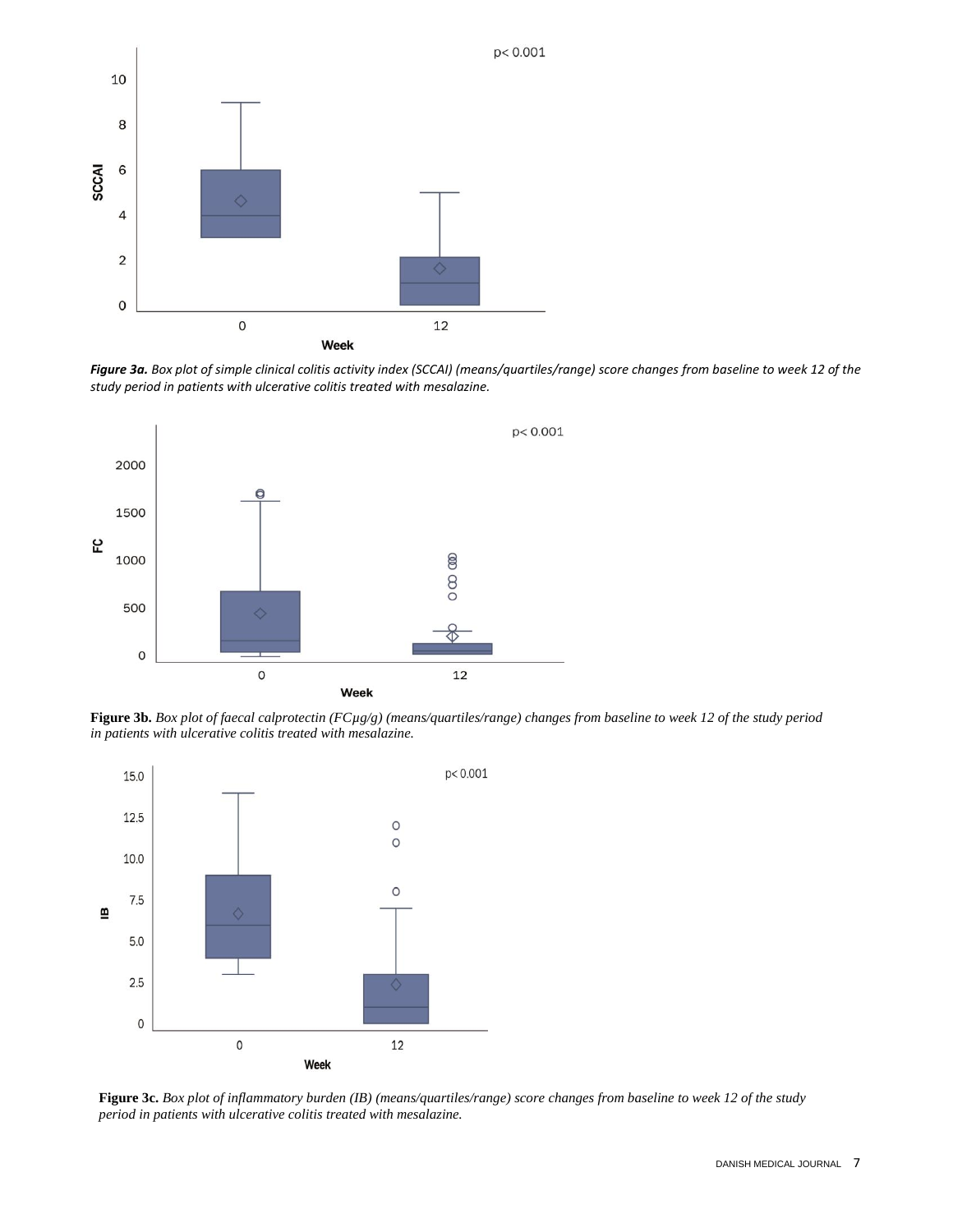

*Figure 3a. Box plot of simple clinical colitis activity index (SCCAI) (means/quartiles/range) score changes from baseline to week 12 of the study period in patients with ulcerative colitis treated with mesalazine.*



**Figure 3b.** *Box plot of faecal calprotectin (FCµg/g) (means/quartiles/range) changes from baseline to week 12 of the study period in patients with ulcerative colitis treated with mesalazine.*



**Figure 3c.** *Box plot of inflammatory burden (IB) (means/quartiles/range) score changes from baseline to week 12 of the study period in patients with ulcerative colitis treated with mesalazine.*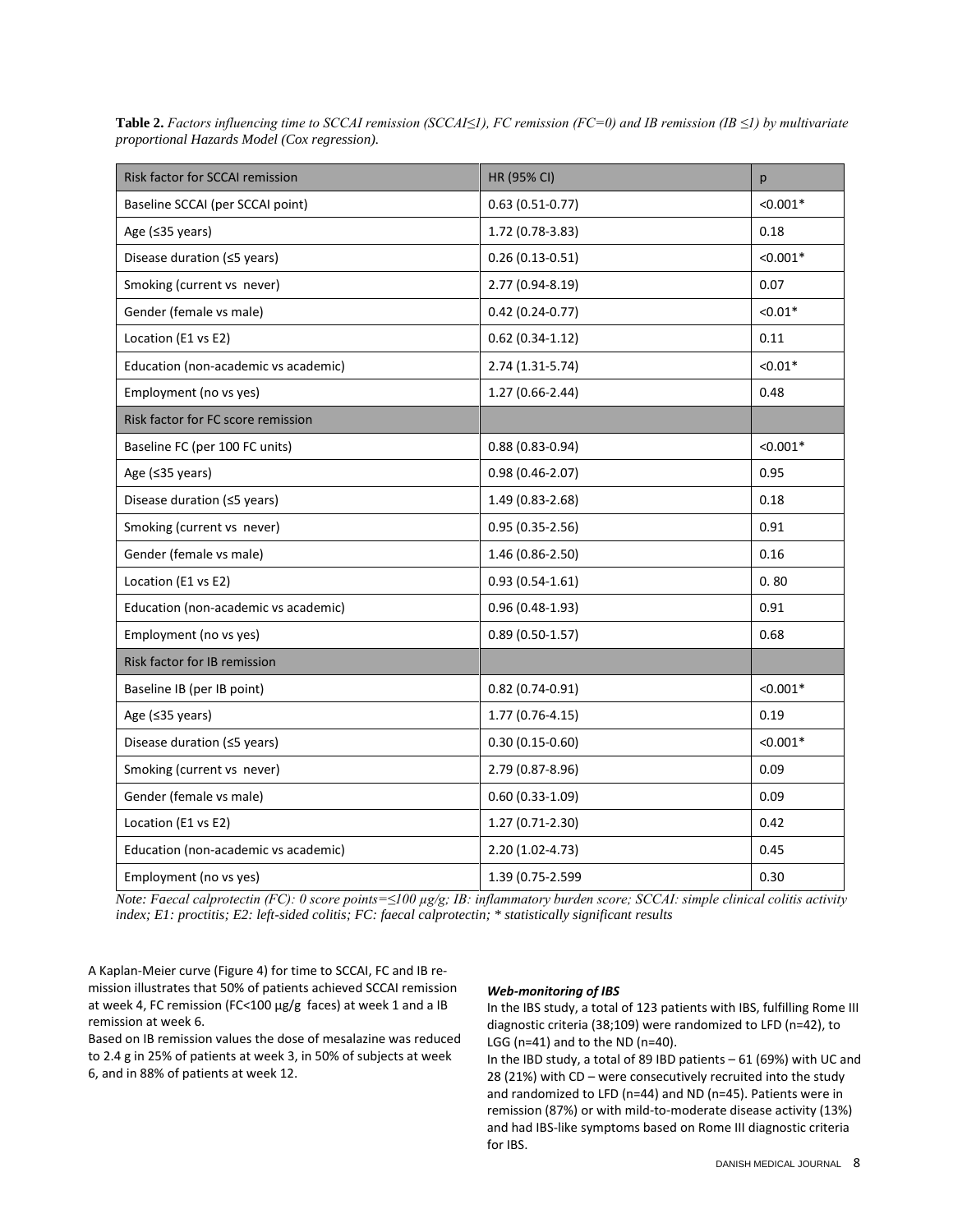| Risk factor for SCCAI remission      | HR (95% CI)         | p          |
|--------------------------------------|---------------------|------------|
| Baseline SCCAI (per SCCAI point)     | $0.63(0.51-0.77)$   | $< 0.001*$ |
| Age (≤35 years)                      | 1.72 (0.78-3.83)    | 0.18       |
| Disease duration (≤5 years)          | $0.26(0.13-0.51)$   | $< 0.001*$ |
| Smoking (current vs never)           | 2.77 (0.94-8.19)    | 0.07       |
| Gender (female vs male)              | $0.42(0.24-0.77)$   | $< 0.01*$  |
| Location (E1 vs E2)                  | $0.62$ (0.34-1.12)  | 0.11       |
| Education (non-academic vs academic) | $2.74(1.31-5.74)$   | $< 0.01*$  |
| Employment (no vs yes)               | 1.27 (0.66-2.44)    | 0.48       |
| Risk factor for FC score remission   |                     |            |
| Baseline FC (per 100 FC units)       | $0.88(0.83 - 0.94)$ | $< 0.001*$ |
| Age (≤35 years)                      | $0.98(0.46 - 2.07)$ | 0.95       |
| Disease duration (≤5 years)          | 1.49 (0.83-2.68)    | 0.18       |
| Smoking (current vs never)           | $0.95(0.35-2.56)$   | 0.91       |
| Gender (female vs male)              | 1.46 (0.86-2.50)    | 0.16       |
| Location (E1 vs E2)                  | $0.93(0.54-1.61)$   | 0.80       |
| Education (non-academic vs academic) | $0.96(0.48-1.93)$   | 0.91       |
| Employment (no vs yes)               | $0.89(0.50-1.57)$   | 0.68       |
| Risk factor for IB remission         |                     |            |
| Baseline IB (per IB point)           | $0.82(0.74-0.91)$   | $< 0.001*$ |
| Age (≤35 years)                      | 1.77 (0.76-4.15)    | 0.19       |
| Disease duration (≤5 years)          | $0.30(0.15-0.60)$   | $< 0.001*$ |
| Smoking (current vs never)           | 2.79 (0.87-8.96)    | 0.09       |
| Gender (female vs male)              | $0.60(0.33-1.09)$   | 0.09       |
| Location (E1 vs E2)                  | 1.27 (0.71-2.30)    | 0.42       |
| Education (non-academic vs academic) | 2.20 (1.02-4.73)    | 0.45       |
| Employment (no vs yes)               | 1.39 (0.75-2.599    | 0.30       |

**Table 2.** *Factors influencing time to SCCAI remission (SCCAI≤1), FC remission (FC=0) and IB remission (IB ≤1) by multivariate proportional Hazards Model (Cox regression).*

*Note: Faecal calprotectin (FC): 0 score points=≤100 µg/g; IB: inflammatory burden score; SCCAI: simple clinical colitis activity index; E1: proctitis; E2: left-sided colitis; FC: faecal calprotectin; \* statistically significant results*

A Kaplan-Meier curve (Figure 4) for time to SCCAI, FC and IB remission illustrates that 50% of patients achieved SCCAI remission at week 4, FC remission (FC<100 µg/g faces) at week 1 and a IB remission at week 6.

Based on IB remission values the dose of mesalazine was reduced to 2.4 g in 25% of patients at week 3, in 50% of subjects at week 6, and in 88% of patients at week 12.

## *Web-monitoring of IBS*

In the IBS study, a total of 123 patients with IBS, fulfilling Rome III diagnostic criteria (38;109) were randomized to LFD (n=42), to LGG ( $n=41$ ) and to the ND ( $n=40$ ).

In the IBD study, a total of 89 IBD patients – 61 (69%) with UC and 28 (21%) with CD – were consecutively recruited into the study and randomized to LFD (n=44) and ND (n=45). Patients were in remission (87%) or with mild-to-moderate disease activity (13%) and had IBS-like symptoms based on Rome III diagnostic criteria for IBS.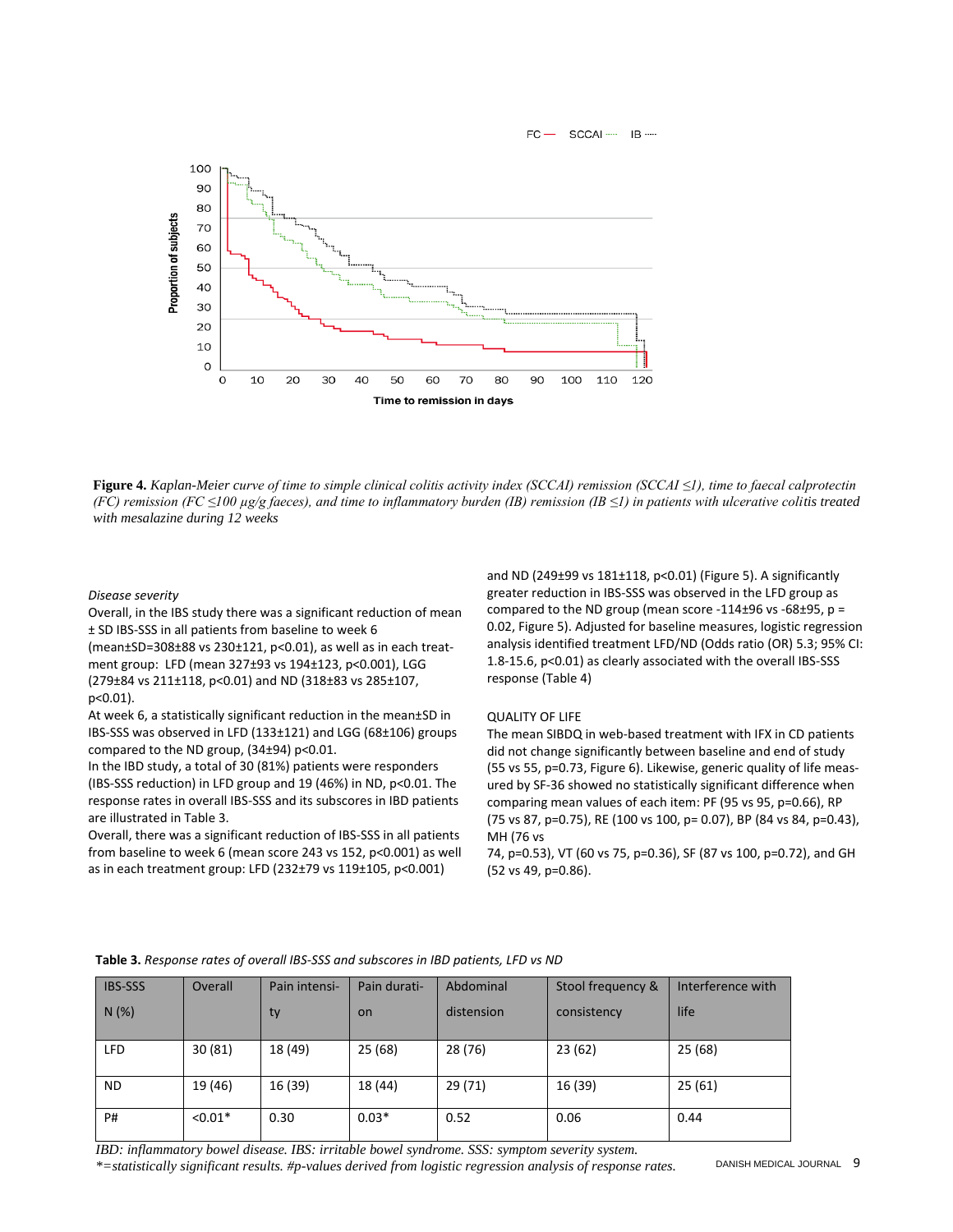

**Figure 4.** *Kaplan-Meier curve of time to simple clinical colitis activity index (SCCAI) remission (SCCAI ≤1), time to faecal calprotectin (FC) remission (FC ≤100 µg/g faeces), and time to inflammatory burden (IB) remission (IB ≤1) in patients with ulcerative colitis treated with mesalazine during 12 weeks*

## *Disease severity*

Overall, in the IBS study there was a significant reduction of mean ± SD IBS-SSS in all patients from baseline to week 6

(mean±SD=308±88 vs 230±121, p<0.01), as well as in each treatment group: LFD (mean 327±93 vs 194±123, p<0.001), LGG (279±84 vs 211±118, p<0.01) and ND (318±83 vs 285±107, p<0.01).

At week 6, a statistically significant reduction in the mean±SD in IBS-SSS was observed in LFD (133±121) and LGG (68±106) groups compared to the ND group, (34±94) p<0.01.

In the IBD study, a total of 30 (81%) patients were responders (IBS-SSS reduction) in LFD group and 19 (46%) in ND, p<0.01. The response rates in overall IBS-SSS and its subscores in IBD patients are illustrated in Table 3.

Overall, there was a significant reduction of IBS-SSS in all patients from baseline to week 6 (mean score 243 vs 152, p<0.001) as well as in each treatment group: LFD (232±79 vs 119±105, p<0.001)

and ND (249±99 vs 181±118, p<0.01) (Figure 5). A significantly greater reduction in IBS-SSS was observed in the LFD group as compared to the ND group (mean score -114 $\pm$ 96 vs -68 $\pm$ 95, p = 0.02, Figure 5). Adjusted for baseline measures, logistic regression analysis identified treatment LFD/ND (Odds ratio (OR) 5.3; 95% CI: 1.8-15.6, p<0.01) as clearly associated with the overall IBS-SSS response (Table 4)

# QUALITY OF LIFE

The mean SIBDQ in web-based treatment with IFX in CD patients did not change significantly between baseline and end of study (55 vs 55, p=0.73, Figure 6). Likewise, generic quality of life measured by SF-36 showed no statistically significant difference when comparing mean values of each item: PF (95 vs 95, p=0.66), RP (75 vs 87, p=0.75), RE (100 vs 100, p= 0.07), BP (84 vs 84, p=0.43), MH (76 vs

74, p=0.53), VT (60 vs 75, p=0.36), SF (87 vs 100, p=0.72), and GH (52 vs 49, p=0.86).

| <b>IBS-SSS</b> | Overall   | Pain intensi- | Pain durati- | Abdominal  | Stool frequency & | Interference with |
|----------------|-----------|---------------|--------------|------------|-------------------|-------------------|
| N(%)           |           | ty            | on           | distension | consistency       | life              |
|                |           |               |              |            |                   |                   |
| <b>LFD</b>     | 30(81)    | 18 (49)       | 25(68)       | 28 (76)    | 23(62)            | 25(68)            |
|                |           |               |              |            |                   |                   |
| <b>ND</b>      | 19 (46)   | 16 (39)       | 18 (44)      | 29(71)     | 16 (39)           | 25(61)            |
| P#             | $< 0.01*$ | 0.30          | $0.03*$      | 0.52       | 0.06              | 0.44              |

#### **Table 3.** *Response rates of overall IBS-SSS and subscores in IBD patients, LFD vs ND*

*IBD: inflammatory bowel disease. IBS: irritable bowel syndrome. SSS: symptom severity system.* 

*\*=statistically significant results. #p-values derived from logistic regression analysis of response rates.*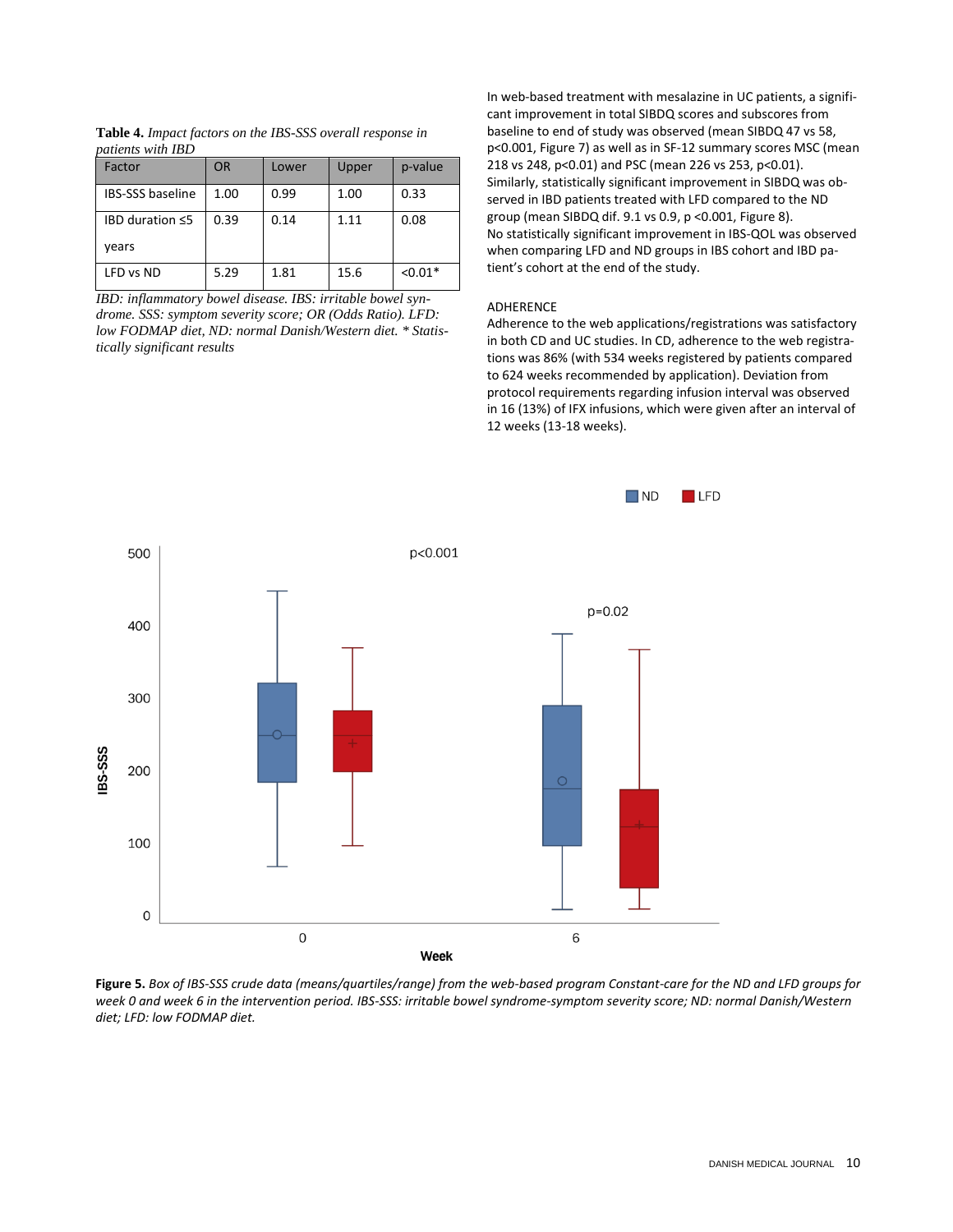| Factor                                  | <b>OR</b> | Lower | Upper | p-value   |
|-----------------------------------------|-----------|-------|-------|-----------|
| <b>IBS-SSS baseline</b>                 | 1.00      | 0.99  | 1.00  | 0.33      |
| <b>IBD duration <math>\leq 5</math></b> | 0.39      | 0.14  | 1.11  | 0.08      |
| vears                                   |           |       |       |           |
| LFD vs ND                               | 5.29      | 1.81  | 15.6  | $< 0.01*$ |

**Table 4.** *Impact factors on the IBS-SSS overall response in patients with IBD*

*IBD: inflammatory bowel disease. IBS: irritable bowel syndrome. SSS: symptom severity score; OR (Odds Ratio). LFD: low FODMAP diet, ND: normal Danish/Western diet. \* Statistically significant results*

In web-based treatment with mesalazine in UC patients, a significant improvement in total SIBDQ scores and subscores from baseline to end of study was observed (mean SIBDQ 47 vs 58, p<0.001, Figure 7) as well as in SF-12 summary scores MSC (mean 218 vs 248, p<0.01) and PSC (mean 226 vs 253, p<0.01). Similarly, statistically significant improvement in SIBDQ was observed in IBD patients treated with LFD compared to the ND group (mean SIBDQ dif. 9.1 vs 0.9, p <0.001, Figure 8). No statistically significant improvement in IBS-QOL was observed when comparing LFD and ND groups in IBS cohort and IBD patient's cohort at the end of the study.

## ADHERENCE

Adherence to the web applications/registrations was satisfactory in both CD and UC studies. In CD, adherence to the web registrations was 86% (with 534 weeks registered by patients compared to 624 weeks recommended by application). Deviation from protocol requirements regarding infusion interval was observed in 16 (13%) of IFX infusions, which were given after an interval of 12 weeks (13-18 weeks).



**Figure 5.** *Box of IBS-SSS crude data (means/quartiles/range) from the web-based program Constant-care for the ND and LFD groups for week 0 and week 6 in the intervention period. IBS-SSS: irritable bowel syndrome-symptom severity score; ND: normal Danish/Western diet; LFD: low FODMAP diet.*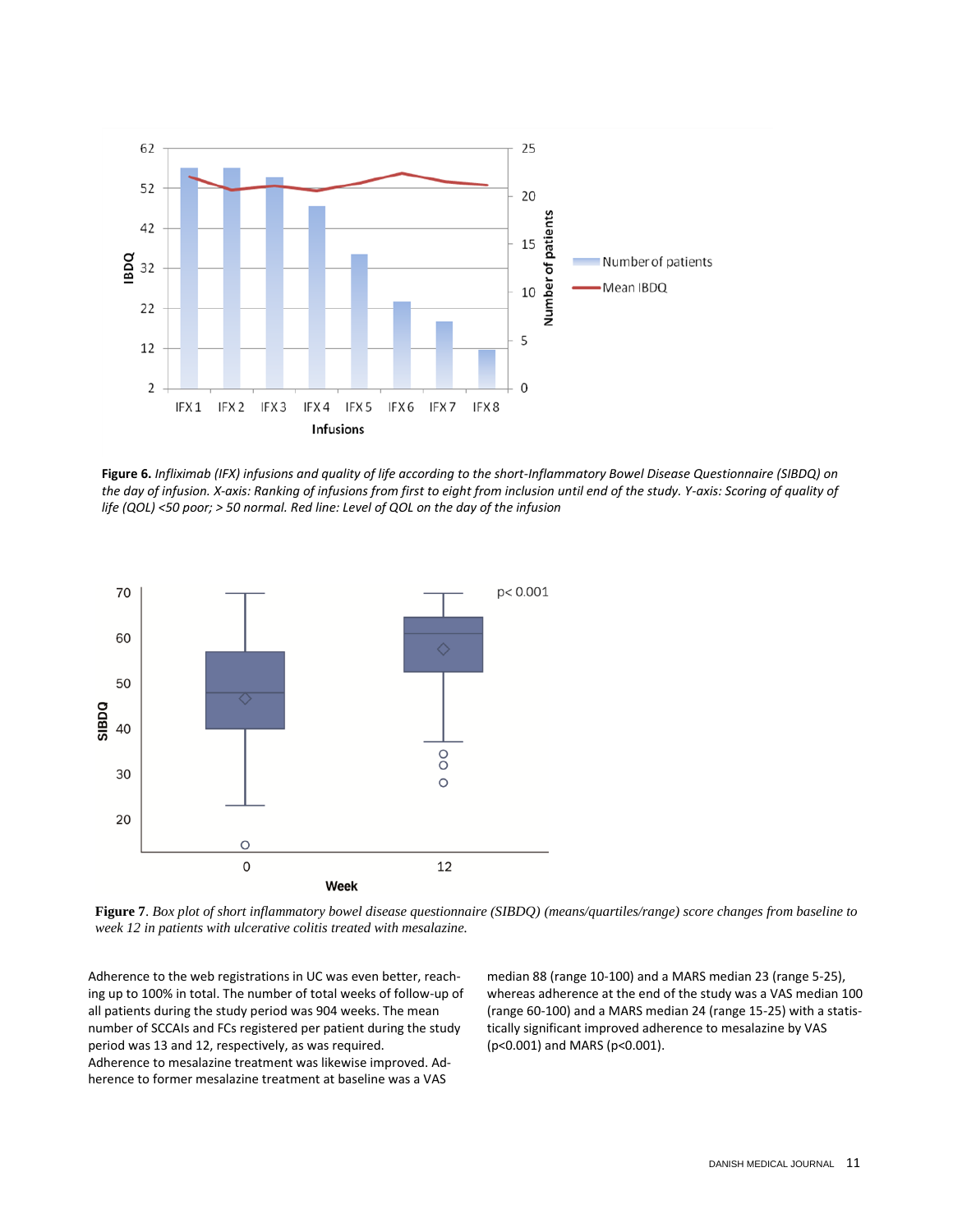

**Figure 6.** *Infliximab (IFX) infusions and quality of life according to the short-Inflammatory Bowel Disease Questionnaire (SIBDQ) on the day of infusion. X-axis: Ranking of infusions from first to eight from inclusion until end of the study. Y-axis: Scoring of quality of life (QOL) <50 poor; > 50 normal. Red line: Level of QOL on the day of the infusion*



**Figure 7**. *Box plot of short inflammatory bowel disease questionnaire (SIBDQ) (means/quartiles/range) score changes from baseline to week 12 in patients with ulcerative colitis treated with mesalazine.*

Adherence to the web registrations in UC was even better, reaching up to 100% in total. The number of total weeks of follow-up of all patients during the study period was 904 weeks. The mean number of SCCAIs and FCs registered per patient during the study period was 13 and 12, respectively, as was required. Adherence to mesalazine treatment was likewise improved. Adherence to former mesalazine treatment at baseline was a VAS

median 88 (range 10-100) and a MARS median 23 (range 5-25), whereas adherence at the end of the study was a VAS median 100 (range 60-100) and a MARS median 24 (range 15-25) with a statistically significant improved adherence to mesalazine by VAS (p<0.001) and MARS (p<0.001).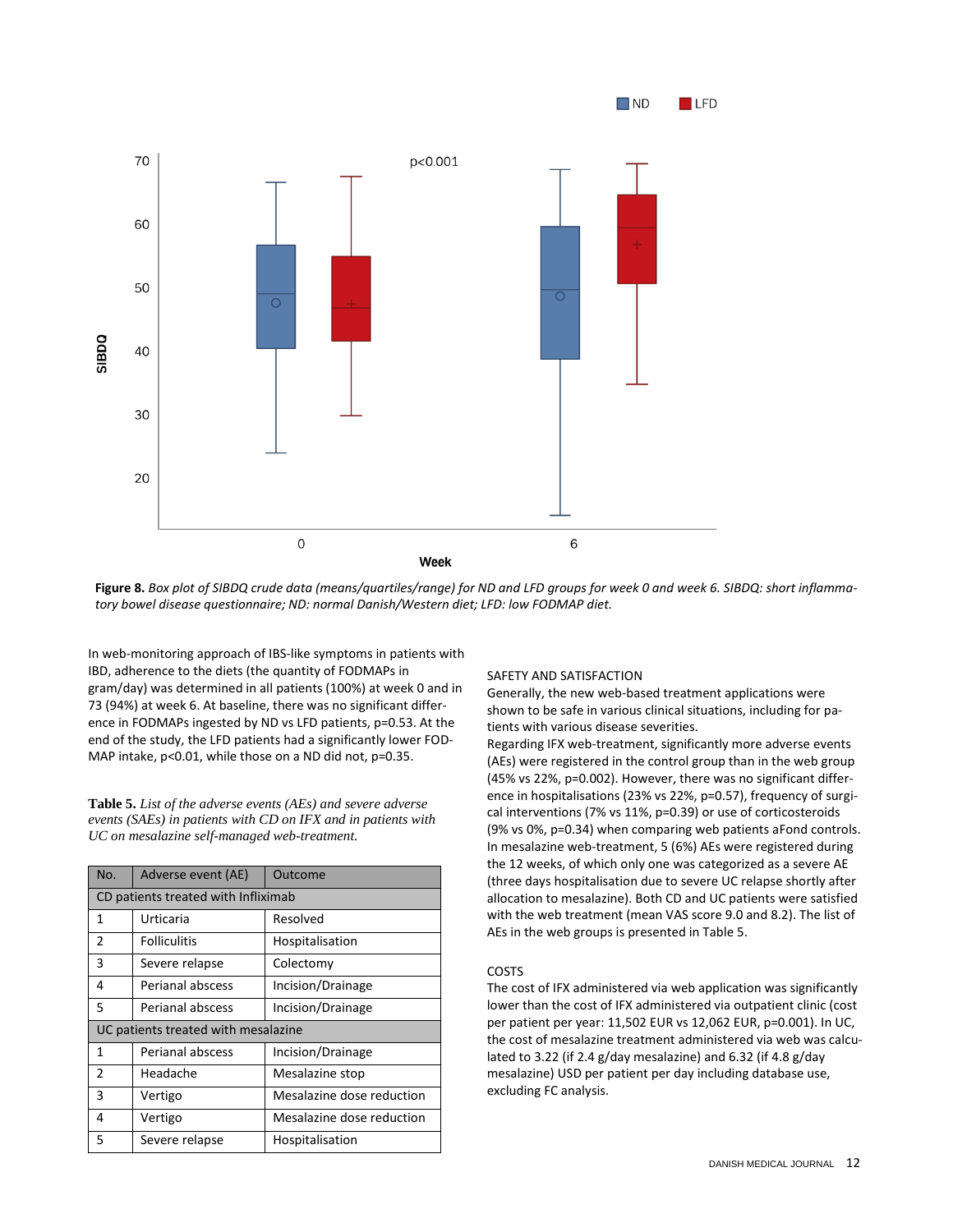

**Figure 8.** *Box plot of SIBDQ crude data (means/quartiles/range) for ND and LFD groups for week 0 and week 6. SIBDQ: short inflammatory bowel disease questionnaire; ND: normal Danish/Western diet; LFD: low FODMAP diet.*

In web-monitoring approach of IBS-like symptoms in patients with IBD, adherence to the diets (the quantity of FODMAPs in gram/day) was determined in all patients (100%) at week 0 and in 73 (94%) at week 6. At baseline, there was no significant difference in FODMAPs ingested by ND vs LFD patients, p=0.53. At the end of the study, the LFD patients had a significantly lower FOD-MAP intake, p<0.01, while those on a ND did not, p=0.35.

**Table 5.** *List of the adverse events (AEs) and severe adverse events (SAEs) in patients with CD on IFX and in patients with UC on mesalazine self-managed web-treatment.*

| No.                                 | Adverse event (AE)  | Outcome                   |  |  |
|-------------------------------------|---------------------|---------------------------|--|--|
| CD patients treated with Infliximab |                     |                           |  |  |
| 1                                   | Urticaria           | Resolved                  |  |  |
| $\overline{2}$                      | <b>Folliculitis</b> | Hospitalisation           |  |  |
| 3                                   | Severe relapse      | Colectomy                 |  |  |
| 4                                   | Perianal abscess    | Incision/Drainage         |  |  |
| 5                                   | Perianal abscess    | Incision/Drainage         |  |  |
| UC patients treated with mesalazine |                     |                           |  |  |
| 1                                   | Perianal abscess    | Incision/Drainage         |  |  |
| $\mathfrak{p}$                      | Headache            | Mesalazine stop           |  |  |
| 3                                   | Vertigo             | Mesalazine dose reduction |  |  |
| 4                                   | Vertigo             | Mesalazine dose reduction |  |  |
| 5                                   | Severe relapse      | Hospitalisation           |  |  |

## SAFETY AND SATISFACTION

Generally, the new web-based treatment applications were shown to be safe in various clinical situations, including for patients with various disease severities.

Regarding IFX web-treatment, significantly more adverse events (AEs) were registered in the control group than in the web group (45% vs 22%, p=0.002). However, there was no significant difference in hospitalisations (23% vs 22%, p=0.57), frequency of surgical interventions (7% vs 11%, p=0.39) or use of corticosteroids (9% vs 0%, p=0.34) when comparing web patients aFond controls. In mesalazine web-treatment, 5 (6%) AEs were registered during the 12 weeks, of which only one was categorized as a severe AE (three days hospitalisation due to severe UC relapse shortly after allocation to mesalazine). Both CD and UC patients were satisfied with the web treatment (mean VAS score 9.0 and 8.2). The list of AEs in the web groups is presented in Table 5.

## COSTS

The cost of IFX administered via web application was significantly lower than the cost of IFX administered via outpatient clinic (cost per patient per year: 11,502 EUR vs 12,062 EUR, p=0.001). In UC, the cost of mesalazine treatment administered via web was calculated to 3.22 (if 2.4 g/day mesalazine) and 6.32 (if 4.8 g/day mesalazine) USD per patient per day including database use, excluding FC analysis.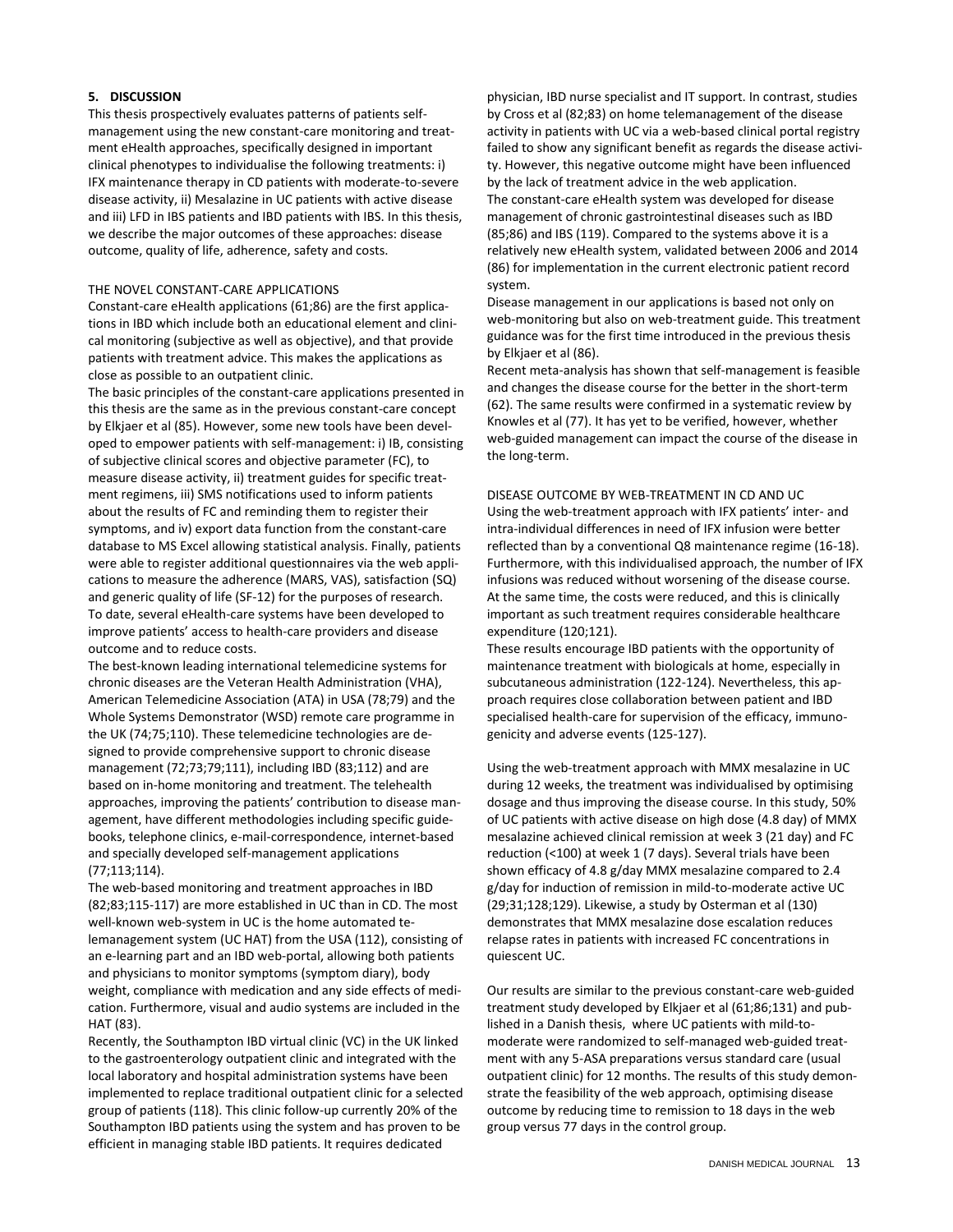## **5. DISCUSSION**

This thesis prospectively evaluates patterns of patients selfmanagement using the new constant-care monitoring and treatment eHealth approaches, specifically designed in important clinical phenotypes to individualise the following treatments: i) IFX maintenance therapy in CD patients with moderate-to-severe disease activity, ii) Mesalazine in UC patients with active disease and iii) LFD in IBS patients and IBD patients with IBS. In this thesis, we describe the major outcomes of these approaches: disease outcome, quality of life, adherence, safety and costs.

## THE NOVEL CONSTANT-CARE APPLICATIONS

Constant-care eHealth applications (61;86) are the first applications in IBD which include both an educational element and clinical monitoring (subjective as well as objective), and that provide patients with treatment advice. This makes the applications as close as possible to an outpatient clinic.

The basic principles of the constant-care applications presented in this thesis are the same as in the previous constant-care concept by Elkjaer et al (85). However, some new tools have been developed to empower patients with self-management: i) IB, consisting of subjective clinical scores and objective parameter (FC), to measure disease activity, ii) treatment guides for specific treatment regimens, iii) SMS notifications used to inform patients about the results of FC and reminding them to register their symptoms, and iv) export data function from the constant-care database to MS Excel allowing statistical analysis. Finally, patients were able to register additional questionnaires via the web applications to measure the adherence (MARS, VAS), satisfaction (SQ) and generic quality of life (SF-12) for the purposes of research. To date, several eHealth-care systems have been developed to improve patients' access to health-care providers and disease outcome and to reduce costs.

The best-known leading international telemedicine systems for chronic diseases are the Veteran Health Administration (VHA), American Telemedicine Association (ATA) in USA (78;79) and the Whole Systems Demonstrator (WSD) remote care programme in the UK (74;75;110). These telemedicine technologies are designed to provide comprehensive support to chronic disease management (72;73;79;111), including IBD (83;112) and are based on in-home monitoring and treatment. The telehealth approaches, improving the patients' contribution to disease management, have different methodologies including specific guidebooks, telephone clinics, e-mail-correspondence, internet-based and specially developed self-management applications (77;113;114).

The web-based monitoring and treatment approaches in IBD (82;83;115-117) are more established in UC than in CD. The most well-known web-system in UC is the home automated telemanagement system (UC HAT) from the USA (112), consisting of an e-learning part and an IBD web-portal, allowing both patients and physicians to monitor symptoms (symptom diary), body weight, compliance with medication and any side effects of medication. Furthermore, visual and audio systems are included in the HAT (83).

Recently, the Southampton IBD virtual clinic (VC) in the UK linked to the gastroenterology outpatient clinic and integrated with the local laboratory and hospital administration systems have been implemented to replace traditional outpatient clinic for a selected group of patients (118). This clinic follow-up currently 20% of the Southampton IBD patients using the system and has proven to be efficient in managing stable IBD patients. It requires dedicated

physician, IBD nurse specialist and IT support. In contrast, studies by Cross et al (82;83) on home telemanagement of the disease activity in patients with UC via a web-based clinical portal registry failed to show any significant benefit as regards the disease activity. However, this negative outcome might have been influenced by the lack of treatment advice in the web application. The constant-care eHealth system was developed for disease management of chronic gastrointestinal diseases such as IBD (85;86) and IBS (119). Compared to the systems above it is a relatively new eHealth system, validated between 2006 and 2014 (86) for implementation in the current electronic patient record system.

Disease management in our applications is based not only on web-monitoring but also on web-treatment guide. This treatment guidance was for the first time introduced in the previous thesis by Elkjaer et al (86).

Recent meta-analysis has shown that self-management is feasible and changes the disease course for the better in the short-term (62). The same results were confirmed in a systematic review by Knowles et al (77). It has yet to be verified, however, whether web-guided management can impact the course of the disease in the long-term.

DISEASE OUTCOME BY WEB-TREATMENT IN CD AND UC Using the web-treatment approach with IFX patients' inter- and intra-individual differences in need of IFX infusion were better reflected than by a conventional Q8 maintenance regime (16-18). Furthermore, with this individualised approach, the number of IFX infusions was reduced without worsening of the disease course. At the same time, the costs were reduced, and this is clinically important as such treatment requires considerable healthcare expenditure (120;121).

These results encourage IBD patients with the opportunity of maintenance treatment with biologicals at home, especially in subcutaneous administration (122-124). Nevertheless, this approach requires close collaboration between patient and IBD specialised health-care for supervision of the efficacy, immunogenicity and adverse events (125-127).

Using the web-treatment approach with MMX mesalazine in UC during 12 weeks, the treatment was individualised by optimising dosage and thus improving the disease course. In this study, 50% of UC patients with active disease on high dose (4.8 day) of MMX mesalazine achieved clinical remission at week 3 (21 day) and FC reduction (<100) at week 1 (7 days). Several trials have been shown efficacy of 4.8 g/day MMX mesalazine compared to 2.4 g/day for induction of remission in mild-to-moderate active UC (29;31;128;129). Likewise, a study by Osterman et al (130) demonstrates that MMX mesalazine dose escalation reduces relapse rates in patients with increased FC concentrations in quiescent UC.

Our results are similar to the previous constant-care web-guided treatment study developed by Elkjaer et al (61;86;131) and published in a Danish thesis, where UC patients with mild-tomoderate were randomized to self-managed web-guided treatment with any 5-ASA preparations versus standard care (usual outpatient clinic) for 12 months. The results of this study demonstrate the feasibility of the web approach, optimising disease outcome by reducing time to remission to 18 days in the web group versus 77 days in the control group.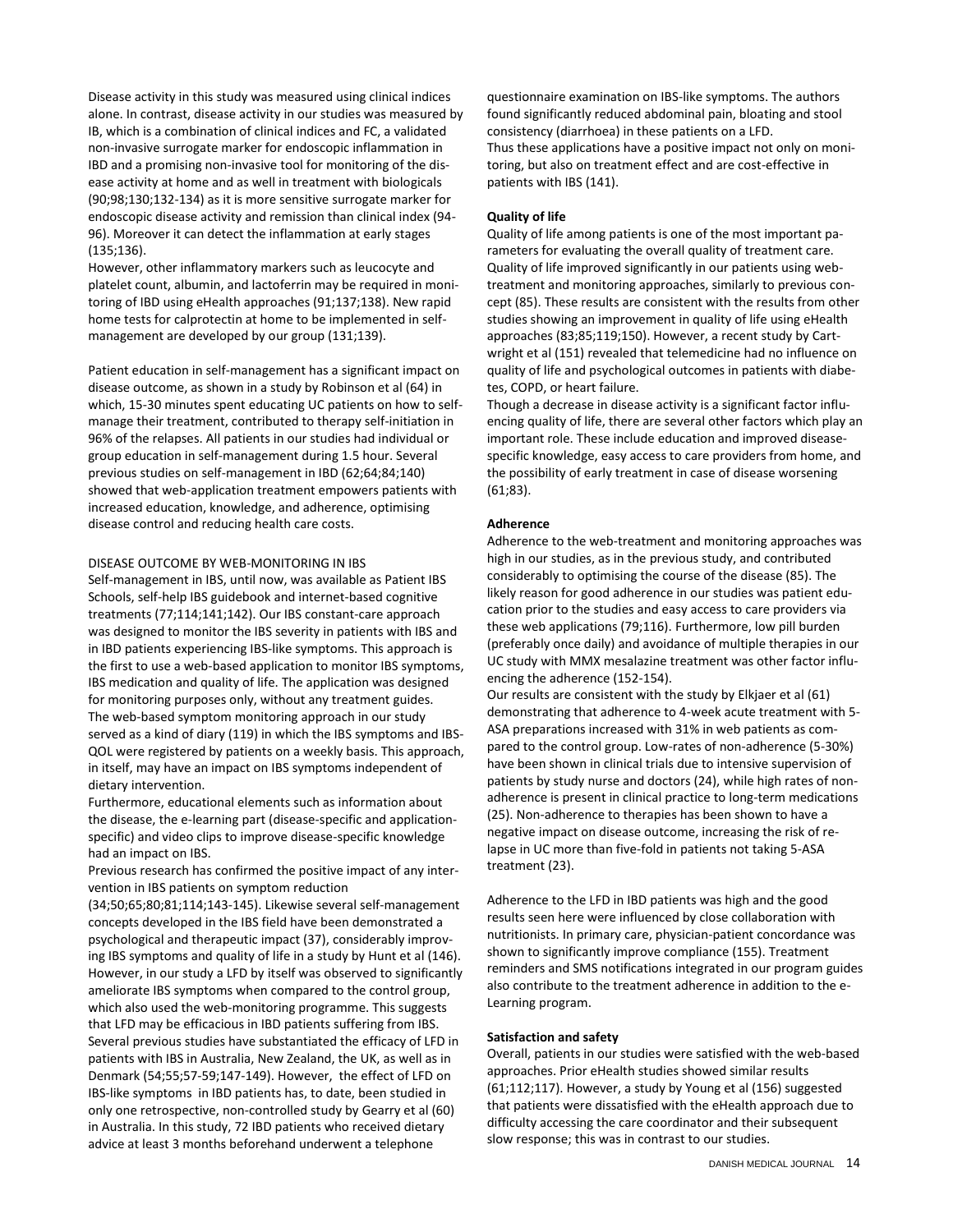Disease activity in this study was measured using clinical indices alone. In contrast, disease activity in our studies was measured by IB, which is a combination of clinical indices and FC, a validated non-invasive surrogate marker for endoscopic inflammation in IBD and a promising non-invasive tool for monitoring of the disease activity at home and as well in treatment with biologicals (90;98;130;132-134) as it is more sensitive surrogate marker for endoscopic disease activity and remission than clinical index (94- 96). Moreover it can detect the inflammation at early stages (135;136).

However, other inflammatory markers such as leucocyte and platelet count, albumin, and lactoferrin may be required in monitoring of IBD using eHealth approaches (91;137;138). New rapid home tests for calprotectin at home to be implemented in selfmanagement are developed by our group (131;139).

Patient education in self-management has a significant impact on disease outcome, as shown in a study by Robinson et al (64) in which, 15-30 minutes spent educating UC patients on how to selfmanage their treatment, contributed to therapy self-initiation in 96% of the relapses. All patients in our studies had individual or group education in self-management during 1.5 hour. Several previous studies on self-management in IBD (62;64;84;140) showed that web-application treatment empowers patients with increased education, knowledge, and adherence, optimising disease control and reducing health care costs.

## DISEASE OUTCOME BY WEB-MONITORING IN IBS

Self-management in IBS, until now, was available as Patient IBS Schools, self-help IBS guidebook and internet-based cognitive treatments (77;114;141;142). Our IBS constant-care approach was designed to monitor the IBS severity in patients with IBS and in IBD patients experiencing IBS-like symptoms. This approach is the first to use a web-based application to monitor IBS symptoms, IBS medication and quality of life. The application was designed for monitoring purposes only, without any treatment guides. The web-based symptom monitoring approach in our study served as a kind of diary (119) in which the IBS symptoms and IBS-QOL were registered by patients on a weekly basis. This approach, in itself, may have an impact on IBS symptoms independent of dietary intervention.

Furthermore, educational elements such as information about the disease, the e-learning part (disease-specific and applicationspecific) and video clips to improve disease-specific knowledge had an impact on IBS.

Previous research has confirmed the positive impact of any intervention in IBS patients on symptom reduction

(34;50;65;80;81;114;143-145). Likewise several self-management concepts developed in the IBS field have been demonstrated a psychological and therapeutic impact (37), considerably improving IBS symptoms and quality of life in a study by Hunt et al (146). However, in our study a LFD by itself was observed to significantly ameliorate IBS symptoms when compared to the control group, which also used the web-monitoring programme. This suggests that LFD may be efficacious in IBD patients suffering from IBS. Several previous studies have substantiated the efficacy of LFD in patients with IBS in Australia, New Zealand, the UK, as well as in Denmark (54;55;57-59;147-149). However, the effect of LFD on IBS-like symptoms in IBD patients has, to date, been studied in only one retrospective, non-controlled study by Gearry et al (60) in Australia. In this study, 72 IBD patients who received dietary advice at least 3 months beforehand underwent a telephone

questionnaire examination on IBS-like symptoms. The authors found significantly reduced abdominal pain, bloating and stool consistency (diarrhoea) in these patients on a LFD. Thus these applications have a positive impact not only on monitoring, but also on treatment effect and are cost-effective in patients with IBS (141).

## **Quality of life**

Quality of life among patients is one of the most important parameters for evaluating the overall quality of treatment care. Quality of life improved significantly in our patients using webtreatment and monitoring approaches, similarly to previous concept (85). These results are consistent with the results from other studies showing an improvement in quality of life using eHealth approaches (83;85;119;150). However, a recent study by Cartwright et al (151) revealed that telemedicine had no influence on quality of life and psychological outcomes in patients with diabetes, COPD, or heart failure.

Though a decrease in disease activity is a significant factor influencing quality of life, there are several other factors which play an important role. These include education and improved diseasespecific knowledge, easy access to care providers from home, and the possibility of early treatment in case of disease worsening (61;83).

#### **Adherence**

Adherence to the web-treatment and monitoring approaches was high in our studies, as in the previous study, and contributed considerably to optimising the course of the disease (85). The likely reason for good adherence in our studies was patient education prior to the studies and easy access to care providers via these web applications (79;116). Furthermore, low pill burden (preferably once daily) and avoidance of multiple therapies in our UC study with MMX mesalazine treatment was other factor influencing the adherence (152-154).

Our results are consistent with the study by Elkjaer et al (61) demonstrating that adherence to 4-week acute treatment with 5- ASA preparations increased with 31% in web patients as compared to the control group. Low-rates of non-adherence (5-30%) have been shown in clinical trials due to intensive supervision of patients by study nurse and doctors (24), while high rates of nonadherence is present in clinical practice to long-term medications (25). Non-adherence to therapies has been shown to have a negative impact on disease outcome, increasing the risk of relapse in UC more than five-fold in patients not taking 5-ASA treatment (23).

Adherence to the LFD in IBD patients was high and the good results seen here were influenced by close collaboration with nutritionists. In primary care, physician-patient concordance was shown to significantly improve compliance (155). Treatment reminders and SMS notifications integrated in our program guides also contribute to the treatment adherence in addition to the e-Learning program.

#### **Satisfaction and safety**

Overall, patients in our studies were satisfied with the web-based approaches. Prior eHealth studies showed similar results (61;112;117). However, a study by Young et al (156) suggested that patients were dissatisfied with the eHealth approach due to difficulty accessing the care coordinator and their subsequent slow response; this was in contrast to our studies.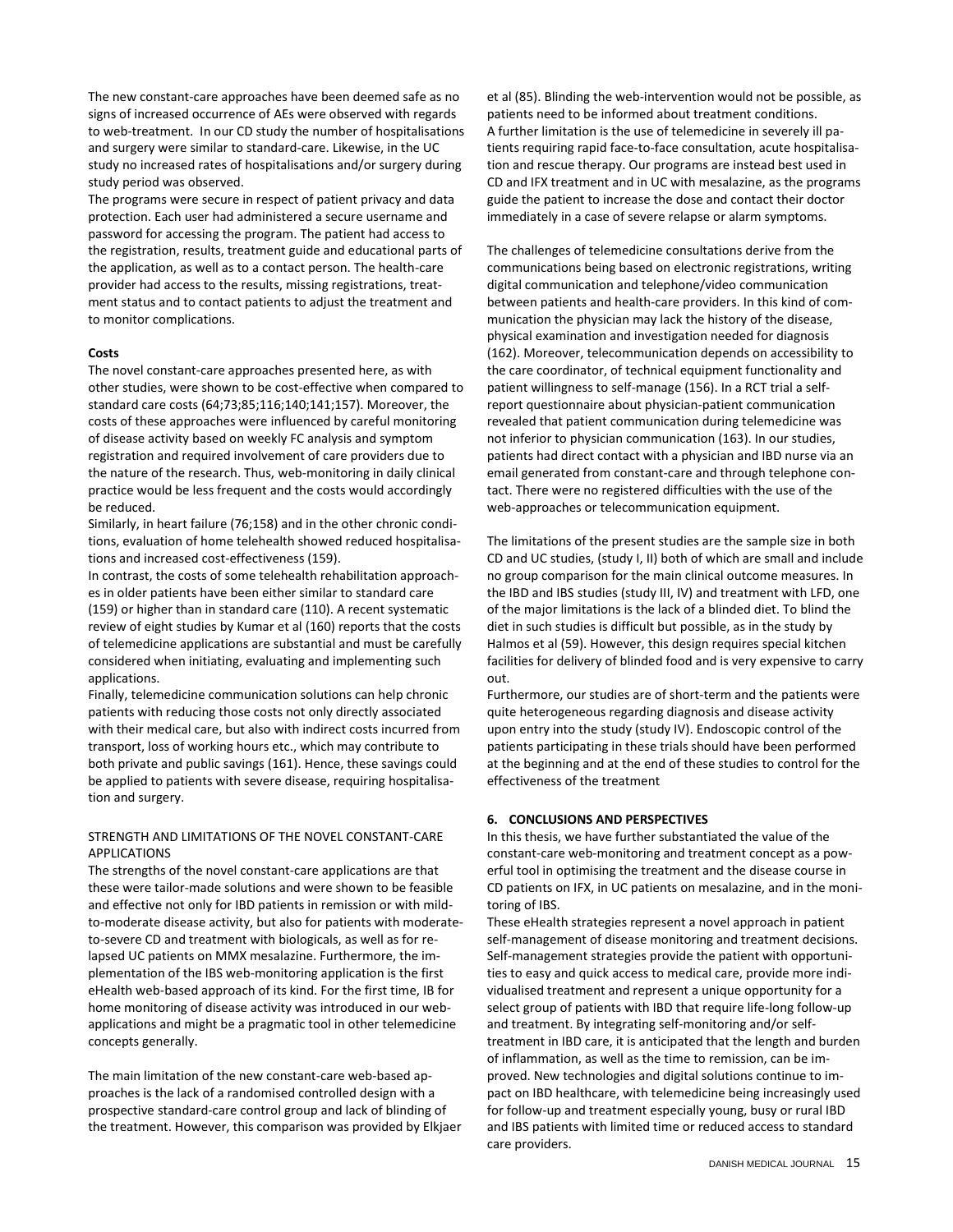The new constant-care approaches have been deemed safe as no signs of increased occurrence of AEs were observed with regards to web-treatment. In our CD study the number of hospitalisations and surgery were similar to standard-care. Likewise, in the UC study no increased rates of hospitalisations and/or surgery during study period was observed.

The programs were secure in respect of patient privacy and data protection. Each user had administered a secure username and password for accessing the program. The patient had access to the registration, results, treatment guide and educational parts of the application, as well as to a contact person. The health-care provider had access to the results, missing registrations, treatment status and to contact patients to adjust the treatment and to monitor complications.

## **Costs**

The novel constant-care approaches presented here, as with other studies, were shown to be cost-effective when compared to standard care costs (64;73;85;116;140;141;157). Moreover, the costs of these approaches were influenced by careful monitoring of disease activity based on weekly FC analysis and symptom registration and required involvement of care providers due to the nature of the research. Thus, web-monitoring in daily clinical practice would be less frequent and the costs would accordingly be reduced.

Similarly, in heart failure (76;158) and in the other chronic conditions, evaluation of home telehealth showed reduced hospitalisations and increased cost-effectiveness (159).

In contrast, the costs of some telehealth rehabilitation approaches in older patients have been either similar to standard care (159) or higher than in standard care (110). A recent systematic review of eight studies by Kumar et al (160) reports that the costs of telemedicine applications are substantial and must be carefully considered when initiating, evaluating and implementing such applications.

Finally, telemedicine communication solutions can help chronic patients with reducing those costs not only directly associated with their medical care, but also with indirect costs incurred from transport, loss of working hours etc., which may contribute to both private and public savings (161). Hence, these savings could be applied to patients with severe disease, requiring hospitalisation and surgery.

# STRENGTH AND LIMITATIONS OF THE NOVEL CONSTANT-CARE APPLICATIONS

The strengths of the novel constant-care applications are that these were tailor-made solutions and were shown to be feasible and effective not only for IBD patients in remission or with mildto-moderate disease activity, but also for patients with moderateto-severe CD and treatment with biologicals, as well as for relapsed UC patients on MMX mesalazine. Furthermore, the implementation of the IBS web-monitoring application is the first eHealth web-based approach of its kind. For the first time, IB for home monitoring of disease activity was introduced in our webapplications and might be a pragmatic tool in other telemedicine concepts generally.

The main limitation of the new constant-care web-based approaches is the lack of a randomised controlled design with a prospective standard-care control group and lack of blinding of the treatment. However, this comparison was provided by Elkjaer et al (85). Blinding the web-intervention would not be possible, as patients need to be informed about treatment conditions. A further limitation is the use of telemedicine in severely ill patients requiring rapid face-to-face consultation, acute hospitalisation and rescue therapy. Our programs are instead best used in CD and IFX treatment and in UC with mesalazine, as the programs guide the patient to increase the dose and contact their doctor immediately in a case of severe relapse or alarm symptoms.

The challenges of telemedicine consultations derive from the communications being based on electronic registrations, writing digital communication and telephone/video communication between patients and health-care providers. In this kind of communication the physician may lack the history of the disease, physical examination and investigation needed for diagnosis (162). Moreover, telecommunication depends on accessibility to the care coordinator, of technical equipment functionality and patient willingness to self-manage (156). In a RCT trial a selfreport questionnaire about physician-patient communication revealed that patient communication during telemedicine was not inferior to physician communication (163). In our studies, patients had direct contact with a physician and IBD nurse via an email generated from constant-care and through telephone contact. There were no registered difficulties with the use of the web-approaches or telecommunication equipment.

The limitations of the present studies are the sample size in both CD and UC studies, (study I, II) both of which are small and include no group comparison for the main clinical outcome measures. In the IBD and IBS studies (study III, IV) and treatment with LFD, one of the major limitations is the lack of a blinded diet. To blind the diet in such studies is difficult but possible, as in the study by Halmos et al (59). However, this design requires special kitchen facilities for delivery of blinded food and is very expensive to carry out.

Furthermore, our studies are of short-term and the patients were quite heterogeneous regarding diagnosis and disease activity upon entry into the study (study IV). Endoscopic control of the patients participating in these trials should have been performed at the beginning and at the end of these studies to control for the effectiveness of the treatment

# **6. CONCLUSIONS AND PERSPECTIVES**

In this thesis, we have further substantiated the value of the constant-care web-monitoring and treatment concept as a powerful tool in optimising the treatment and the disease course in CD patients on IFX, in UC patients on mesalazine, and in the monitoring of IBS.

These eHealth strategies represent a novel approach in patient self-management of disease monitoring and treatment decisions. Self-management strategies provide the patient with opportunities to easy and quick access to medical care, provide more individualised treatment and represent a unique opportunity for a select group of patients with IBD that require life-long follow-up and treatment. By integrating self-monitoring and/or selftreatment in IBD care, it is anticipated that the length and burden of inflammation, as well as the time to remission, can be improved. New technologies and digital solutions continue to impact on IBD healthcare, with telemedicine being increasingly used for follow-up and treatment especially young, busy or rural IBD and IBS patients with limited time or reduced access to standard care providers.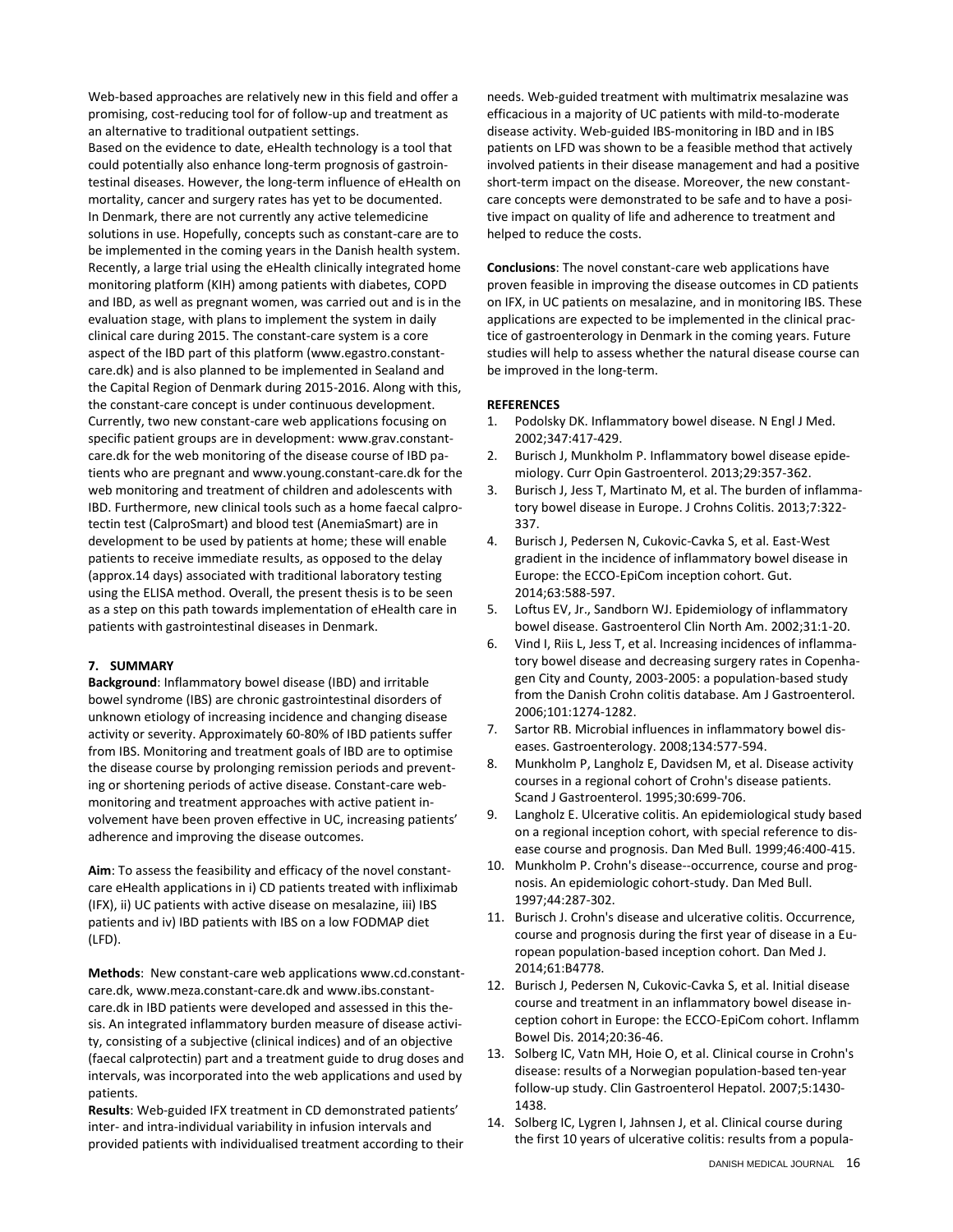Web-based approaches are relatively new in this field and offer a promising, cost-reducing tool for of follow-up and treatment as an alternative to traditional outpatient settings. Based on the evidence to date, eHealth technology is a tool that could potentially also enhance long-term prognosis of gastrointestinal diseases. However, the long-term influence of eHealth on mortality, cancer and surgery rates has yet to be documented. In Denmark, there are not currently any active telemedicine solutions in use. Hopefully, concepts such as constant-care are to be implemented in the coming years in the Danish health system. Recently, a large trial using the eHealth clinically integrated home monitoring platform (KIH) among patients with diabetes, COPD and IBD, as well as pregnant women, was carried out and is in the evaluation stage, with plans to implement the system in daily clinical care during 2015. The constant-care system is a core aspect of the IBD part of this platform (www.egastro.constantcare.dk) and is also planned to be implemented in Sealand and the Capital Region of Denmark during 2015-2016. Along with this, the constant-care concept is under continuous development. Currently, two new constant-care web applications focusing on specific patient groups are in development: www.grav.constantcare.dk for the web monitoring of the disease course of IBD patients who are pregnant and www.young.constant-care.dk for the web monitoring and treatment of children and adolescents with IBD. Furthermore, new clinical tools such as a home faecal calprotectin test (CalproSmart) and blood test (AnemiaSmart) are in development to be used by patients at home; these will enable patients to receive immediate results, as opposed to the delay (approx.14 days) associated with traditional laboratory testing using the ELISA method. Overall, the present thesis is to be seen as a step on this path towards implementation of eHealth care in patients with gastrointestinal diseases in Denmark.

# **7. SUMMARY**

**Background**: Inflammatory bowel disease (IBD) and irritable bowel syndrome (IBS) are chronic gastrointestinal disorders of unknown etiology of increasing incidence and changing disease activity or severity. Approximately 60-80% of IBD patients suffer from IBS. Monitoring and treatment goals of IBD are to optimise the disease course by prolonging remission periods and preventing or shortening periods of active disease. Constant-care webmonitoring and treatment approaches with active patient involvement have been proven effective in UC, increasing patients' adherence and improving the disease outcomes.

**Aim**: To assess the feasibility and efficacy of the novel constantcare eHealth applications in i) CD patients treated with infliximab (IFX), ii) UC patients with active disease on mesalazine, iii) IBS patients and iv) IBD patients with IBS on a low FODMAP diet (LFD).

**Methods**: New constant-care web applications www.cd.constantcare.dk, www.meza.constant-care.dk and www.ibs.constantcare.dk in IBD patients were developed and assessed in this thesis. An integrated inflammatory burden measure of disease activity, consisting of a subjective (clinical indices) and of an objective (faecal calprotectin) part and a treatment guide to drug doses and intervals, was incorporated into the web applications and used by patients.

**Results**: Web-guided IFX treatment in CD demonstrated patients' inter- and intra-individual variability in infusion intervals and provided patients with individualised treatment according to their needs. Web-guided treatment with multimatrix mesalazine was efficacious in a majority of UC patients with mild-to-moderate disease activity. Web-guided IBS-monitoring in IBD and in IBS patients on LFD was shown to be a feasible method that actively involved patients in their disease management and had a positive short-term impact on the disease. Moreover, the new constantcare concepts were demonstrated to be safe and to have a positive impact on quality of life and adherence to treatment and helped to reduce the costs.

**Conclusions**: The novel constant-care web applications have proven feasible in improving the disease outcomes in CD patients on IFX, in UC patients on mesalazine, and in monitoring IBS. These applications are expected to be implemented in the clinical practice of gastroenterology in Denmark in the coming years. Future studies will help to assess whether the natural disease course can be improved in the long-term.

## **REFERENCES**

- 1. Podolsky DK. Inflammatory bowel disease. N Engl J Med. 2002;347:417-429.
- 2. Burisch J, Munkholm P. Inflammatory bowel disease epidemiology. Curr Opin Gastroenterol. 2013;29:357-362.
- 3. Burisch J, Jess T, Martinato M, et al. The burden of inflammatory bowel disease in Europe. J Crohns Colitis. 2013;7:322- 337.
- 4. Burisch J, Pedersen N, Cukovic-Cavka S, et al. East-West gradient in the incidence of inflammatory bowel disease in Europe: the ECCO-EpiCom inception cohort. Gut. 2014;63:588-597.
- 5. Loftus EV, Jr., Sandborn WJ. Epidemiology of inflammatory bowel disease. Gastroenterol Clin North Am. 2002;31:1-20.
- 6. Vind I, Riis L, Jess T, et al. Increasing incidences of inflammatory bowel disease and decreasing surgery rates in Copenhagen City and County, 2003-2005: a population-based study from the Danish Crohn colitis database. Am J Gastroenterol. 2006;101:1274-1282.
- 7. Sartor RB. Microbial influences in inflammatory bowel diseases. Gastroenterology. 2008;134:577-594.
- 8. Munkholm P, Langholz E, Davidsen M, et al. Disease activity courses in a regional cohort of Crohn's disease patients. Scand J Gastroenterol. 1995;30:699-706.
- 9. Langholz E. Ulcerative colitis. An epidemiological study based on a regional inception cohort, with special reference to disease course and prognosis. Dan Med Bull. 1999;46:400-415.
- 10. Munkholm P. Crohn's disease--occurrence, course and prognosis. An epidemiologic cohort-study. Dan Med Bull. 1997;44:287-302.
- 11. Burisch J. Crohn's disease and ulcerative colitis. Occurrence, course and prognosis during the first year of disease in a European population-based inception cohort. Dan Med J. 2014;61:B4778.
- 12. Burisch J, Pedersen N, Cukovic-Cavka S, et al. Initial disease course and treatment in an inflammatory bowel disease inception cohort in Europe: the ECCO-EpiCom cohort. Inflamm Bowel Dis. 2014;20:36-46.
- 13. Solberg IC, Vatn MH, Hoie O, et al. Clinical course in Crohn's disease: results of a Norwegian population-based ten-year follow-up study. Clin Gastroenterol Hepatol. 2007;5:1430- 1438.
- 14. Solberg IC, Lygren I, Jahnsen J, et al. Clinical course during the first 10 years of ulcerative colitis: results from a popula-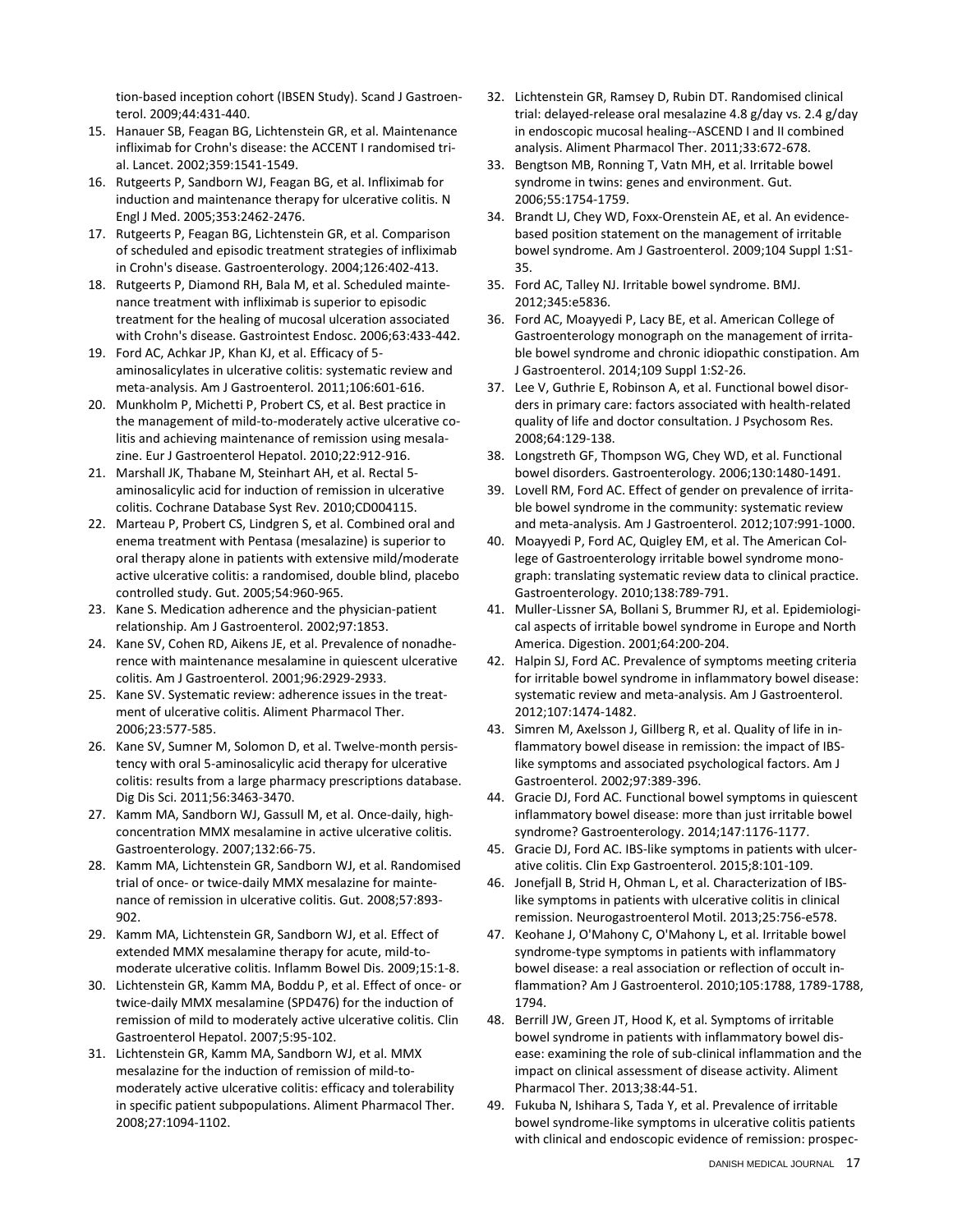tion-based inception cohort (IBSEN Study). Scand J Gastroenterol. 2009;44:431-440.

- 15. Hanauer SB, Feagan BG, Lichtenstein GR, et al. Maintenance infliximab for Crohn's disease: the ACCENT I randomised trial. Lancet. 2002;359:1541-1549.
- 16. Rutgeerts P, Sandborn WJ, Feagan BG, et al. Infliximab for induction and maintenance therapy for ulcerative colitis. N Engl J Med. 2005;353:2462-2476.
- 17. Rutgeerts P, Feagan BG, Lichtenstein GR, et al. Comparison of scheduled and episodic treatment strategies of infliximab in Crohn's disease. Gastroenterology. 2004;126:402-413.
- 18. Rutgeerts P, Diamond RH, Bala M, et al. Scheduled maintenance treatment with infliximab is superior to episodic treatment for the healing of mucosal ulceration associated with Crohn's disease. Gastrointest Endosc. 2006;63:433-442.
- 19. Ford AC, Achkar JP, Khan KJ, et al. Efficacy of 5 aminosalicylates in ulcerative colitis: systematic review and meta-analysis. Am J Gastroenterol. 2011;106:601-616.
- 20. Munkholm P, Michetti P, Probert CS, et al. Best practice in the management of mild-to-moderately active ulcerative colitis and achieving maintenance of remission using mesalazine. Eur J Gastroenterol Hepatol. 2010;22:912-916.
- 21. Marshall JK, Thabane M, Steinhart AH, et al. Rectal 5 aminosalicylic acid for induction of remission in ulcerative colitis. Cochrane Database Syst Rev. 2010;CD004115.
- 22. Marteau P, Probert CS, Lindgren S, et al. Combined oral and enema treatment with Pentasa (mesalazine) is superior to oral therapy alone in patients with extensive mild/moderate active ulcerative colitis: a randomised, double blind, placebo controlled study. Gut. 2005;54:960-965.
- 23. Kane S. Medication adherence and the physician-patient relationship. Am J Gastroenterol. 2002;97:1853.
- 24. Kane SV, Cohen RD, Aikens JE, et al. Prevalence of nonadherence with maintenance mesalamine in quiescent ulcerative colitis. Am J Gastroenterol. 2001;96:2929-2933.
- 25. Kane SV. Systematic review: adherence issues in the treatment of ulcerative colitis. Aliment Pharmacol Ther. 2006;23:577-585.
- 26. Kane SV, Sumner M, Solomon D, et al. Twelve-month persistency with oral 5-aminosalicylic acid therapy for ulcerative colitis: results from a large pharmacy prescriptions database. Dig Dis Sci. 2011;56:3463-3470.
- 27. Kamm MA, Sandborn WJ, Gassull M, et al. Once-daily, highconcentration MMX mesalamine in active ulcerative colitis. Gastroenterology. 2007;132:66-75.
- 28. Kamm MA, Lichtenstein GR, Sandborn WJ, et al. Randomised trial of once- or twice-daily MMX mesalazine for maintenance of remission in ulcerative colitis. Gut. 2008;57:893- 902.
- 29. Kamm MA, Lichtenstein GR, Sandborn WJ, et al. Effect of extended MMX mesalamine therapy for acute, mild-tomoderate ulcerative colitis. Inflamm Bowel Dis. 2009;15:1-8.
- 30. Lichtenstein GR, Kamm MA, Boddu P, et al. Effect of once- or twice-daily MMX mesalamine (SPD476) for the induction of remission of mild to moderately active ulcerative colitis. Clin Gastroenterol Hepatol. 2007;5:95-102.
- 31. Lichtenstein GR, Kamm MA, Sandborn WJ, et al. MMX mesalazine for the induction of remission of mild-tomoderately active ulcerative colitis: efficacy and tolerability in specific patient subpopulations. Aliment Pharmacol Ther. 2008;27:1094-1102.
- 32. Lichtenstein GR, Ramsey D, Rubin DT. Randomised clinical trial: delayed-release oral mesalazine 4.8 g/day vs. 2.4 g/day in endoscopic mucosal healing--ASCEND I and II combined analysis. Aliment Pharmacol Ther. 2011;33:672-678.
- 33. Bengtson MB, Ronning T, Vatn MH, et al. Irritable bowel syndrome in twins: genes and environment. Gut. 2006;55:1754-1759.
- 34. Brandt LJ, Chey WD, Foxx-Orenstein AE, et al. An evidencebased position statement on the management of irritable bowel syndrome. Am J Gastroenterol. 2009;104 Suppl 1:S1- 35.
- 35. Ford AC, Talley NJ. Irritable bowel syndrome. BMJ. 2012;345:e5836.
- 36. Ford AC, Moayyedi P, Lacy BE, et al. American College of Gastroenterology monograph on the management of irritable bowel syndrome and chronic idiopathic constipation. Am J Gastroenterol. 2014;109 Suppl 1:S2-26.
- 37. Lee V, Guthrie E, Robinson A, et al. Functional bowel disorders in primary care: factors associated with health-related quality of life and doctor consultation. J Psychosom Res. 2008;64:129-138.
- 38. Longstreth GF, Thompson WG, Chey WD, et al. Functional bowel disorders. Gastroenterology. 2006;130:1480-1491.
- 39. Lovell RM, Ford AC. Effect of gender on prevalence of irritable bowel syndrome in the community: systematic review and meta-analysis. Am J Gastroenterol. 2012;107:991-1000.
- 40. Moayyedi P, Ford AC, Quigley EM, et al. The American College of Gastroenterology irritable bowel syndrome monograph: translating systematic review data to clinical practice. Gastroenterology. 2010;138:789-791.
- 41. Muller-Lissner SA, Bollani S, Brummer RJ, et al. Epidemiological aspects of irritable bowel syndrome in Europe and North America. Digestion. 2001;64:200-204.
- 42. Halpin SJ, Ford AC. Prevalence of symptoms meeting criteria for irritable bowel syndrome in inflammatory bowel disease: systematic review and meta-analysis. Am J Gastroenterol. 2012;107:1474-1482.
- 43. Simren M, Axelsson J, Gillberg R, et al. Quality of life in inflammatory bowel disease in remission: the impact of IBSlike symptoms and associated psychological factors. Am J Gastroenterol. 2002;97:389-396.
- 44. Gracie DJ, Ford AC. Functional bowel symptoms in quiescent inflammatory bowel disease: more than just irritable bowel syndrome? Gastroenterology. 2014;147:1176-1177.
- 45. Gracie DJ, Ford AC. IBS-like symptoms in patients with ulcerative colitis. Clin Exp Gastroenterol. 2015;8:101-109.
- 46. Jonefjall B, Strid H, Ohman L, et al. Characterization of IBSlike symptoms in patients with ulcerative colitis in clinical remission. Neurogastroenterol Motil. 2013;25:756-e578.
- 47. Keohane J, O'Mahony C, O'Mahony L, et al. Irritable bowel syndrome-type symptoms in patients with inflammatory bowel disease: a real association or reflection of occult inflammation? Am J Gastroenterol. 2010;105:1788, 1789-1788, 1794.
- 48. Berrill JW, Green JT, Hood K, et al. Symptoms of irritable bowel syndrome in patients with inflammatory bowel disease: examining the role of sub-clinical inflammation and the impact on clinical assessment of disease activity. Aliment Pharmacol Ther. 2013;38:44-51.
- 49. Fukuba N, Ishihara S, Tada Y, et al. Prevalence of irritable bowel syndrome-like symptoms in ulcerative colitis patients with clinical and endoscopic evidence of remission: prospec-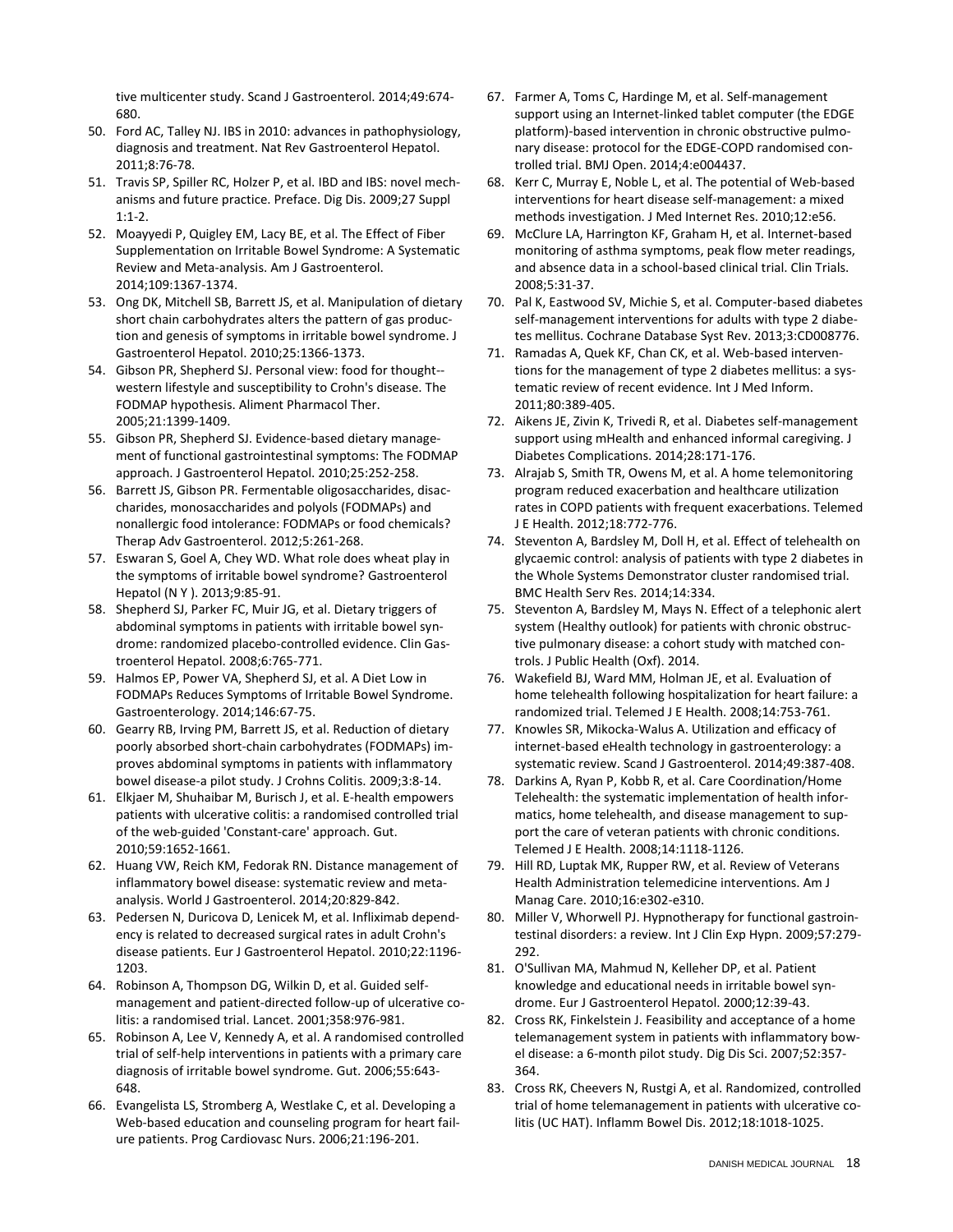tive multicenter study. Scand J Gastroenterol. 2014;49:674- 680.

- 50. Ford AC, Talley NJ. IBS in 2010: advances in pathophysiology, diagnosis and treatment. Nat Rev Gastroenterol Hepatol. 2011;8:76-78.
- 51. Travis SP, Spiller RC, Holzer P, et al. IBD and IBS: novel mechanisms and future practice. Preface. Dig Dis. 2009;27 Suppl 1:1-2.
- 52. Moayyedi P, Quigley EM, Lacy BE, et al. The Effect of Fiber Supplementation on Irritable Bowel Syndrome: A Systematic Review and Meta-analysis. Am J Gastroenterol. 2014;109:1367-1374.
- 53. Ong DK, Mitchell SB, Barrett JS, et al. Manipulation of dietary short chain carbohydrates alters the pattern of gas production and genesis of symptoms in irritable bowel syndrome. J Gastroenterol Hepatol. 2010;25:1366-1373.
- 54. Gibson PR, Shepherd SJ. Personal view: food for thought- western lifestyle and susceptibility to Crohn's disease. The FODMAP hypothesis. Aliment Pharmacol Ther. 2005;21:1399-1409.
- 55. Gibson PR, Shepherd SJ. Evidence-based dietary management of functional gastrointestinal symptoms: The FODMAP approach. J Gastroenterol Hepatol. 2010;25:252-258.
- 56. Barrett JS, Gibson PR. Fermentable oligosaccharides, disaccharides, monosaccharides and polyols (FODMAPs) and nonallergic food intolerance: FODMAPs or food chemicals? Therap Adv Gastroenterol. 2012;5:261-268.
- 57. Eswaran S, Goel A, Chey WD. What role does wheat play in the symptoms of irritable bowel syndrome? Gastroenterol Hepatol (N Y ). 2013;9:85-91.
- 58. Shepherd SJ, Parker FC, Muir JG, et al. Dietary triggers of abdominal symptoms in patients with irritable bowel syndrome: randomized placebo-controlled evidence. Clin Gastroenterol Hepatol. 2008;6:765-771.
- 59. Halmos EP, Power VA, Shepherd SJ, et al. A Diet Low in FODMAPs Reduces Symptoms of Irritable Bowel Syndrome. Gastroenterology. 2014;146:67-75.
- 60. Gearry RB, Irving PM, Barrett JS, et al. Reduction of dietary poorly absorbed short-chain carbohydrates (FODMAPs) improves abdominal symptoms in patients with inflammatory bowel disease-a pilot study. J Crohns Colitis. 2009;3:8-14.
- 61. Elkjaer M, Shuhaibar M, Burisch J, et al. E-health empowers patients with ulcerative colitis: a randomised controlled trial of the web-guided 'Constant-care' approach. Gut. 2010;59:1652-1661.
- 62. Huang VW, Reich KM, Fedorak RN. Distance management of inflammatory bowel disease: systematic review and metaanalysis. World J Gastroenterol. 2014;20:829-842.
- 63. Pedersen N, Duricova D, Lenicek M, et al. Infliximab dependency is related to decreased surgical rates in adult Crohn's disease patients. Eur J Gastroenterol Hepatol. 2010;22:1196- 1203.
- 64. Robinson A, Thompson DG, Wilkin D, et al. Guided selfmanagement and patient-directed follow-up of ulcerative colitis: a randomised trial. Lancet. 2001;358:976-981.
- 65. Robinson A, Lee V, Kennedy A, et al. A randomised controlled trial of self-help interventions in patients with a primary care diagnosis of irritable bowel syndrome. Gut. 2006;55:643- 648.
- 66. Evangelista LS, Stromberg A, Westlake C, et al. Developing a Web-based education and counseling program for heart failure patients. Prog Cardiovasc Nurs. 2006;21:196-201.
- 67. Farmer A, Toms C, Hardinge M, et al. Self-management support using an Internet-linked tablet computer (the EDGE platform)-based intervention in chronic obstructive pulmonary disease: protocol for the EDGE-COPD randomised controlled trial. BMJ Open. 2014;4:e004437.
- 68. Kerr C, Murray E, Noble L, et al. The potential of Web-based interventions for heart disease self-management: a mixed methods investigation. J Med Internet Res. 2010;12:e56.
- 69. McClure LA, Harrington KF, Graham H, et al. Internet-based monitoring of asthma symptoms, peak flow meter readings, and absence data in a school-based clinical trial. Clin Trials. 2008;5:31-37.
- 70. Pal K, Eastwood SV, Michie S, et al. Computer-based diabetes self-management interventions for adults with type 2 diabetes mellitus. Cochrane Database Syst Rev. 2013;3:CD008776.
- 71. Ramadas A, Quek KF, Chan CK, et al. Web-based interventions for the management of type 2 diabetes mellitus: a systematic review of recent evidence. Int J Med Inform. 2011;80:389-405.
- 72. Aikens JE, Zivin K, Trivedi R, et al. Diabetes self-management support using mHealth and enhanced informal caregiving. J Diabetes Complications. 2014;28:171-176.
- 73. Alrajab S, Smith TR, Owens M, et al. A home telemonitoring program reduced exacerbation and healthcare utilization rates in COPD patients with frequent exacerbations. Telemed J E Health. 2012;18:772-776.
- 74. Steventon A, Bardsley M, Doll H, et al. Effect of telehealth on glycaemic control: analysis of patients with type 2 diabetes in the Whole Systems Demonstrator cluster randomised trial. BMC Health Serv Res. 2014;14:334.
- 75. Steventon A, Bardsley M, Mays N. Effect of a telephonic alert system (Healthy outlook) for patients with chronic obstructive pulmonary disease: a cohort study with matched controls. J Public Health (Oxf). 2014.
- 76. Wakefield BJ, Ward MM, Holman JE, et al. Evaluation of home telehealth following hospitalization for heart failure: a randomized trial. Telemed J E Health. 2008;14:753-761.
- 77. Knowles SR, Mikocka-Walus A. Utilization and efficacy of internet-based eHealth technology in gastroenterology: a systematic review. Scand J Gastroenterol. 2014;49:387-408.
- 78. Darkins A, Ryan P, Kobb R, et al. Care Coordination/Home Telehealth: the systematic implementation of health informatics, home telehealth, and disease management to support the care of veteran patients with chronic conditions. Telemed J E Health. 2008;14:1118-1126.
- 79. Hill RD, Luptak MK, Rupper RW, et al. Review of Veterans Health Administration telemedicine interventions. Am J Manag Care. 2010;16:e302-e310.
- 80. Miller V, Whorwell PJ. Hypnotherapy for functional gastrointestinal disorders: a review. Int J Clin Exp Hypn. 2009;57:279- 292.
- 81. O'Sullivan MA, Mahmud N, Kelleher DP, et al. Patient knowledge and educational needs in irritable bowel syndrome. Eur J Gastroenterol Hepatol. 2000;12:39-43.
- 82. Cross RK, Finkelstein J. Feasibility and acceptance of a home telemanagement system in patients with inflammatory bowel disease: a 6-month pilot study. Dig Dis Sci. 2007;52:357- 364.
- 83. Cross RK, Cheevers N, Rustgi A, et al. Randomized, controlled trial of home telemanagement in patients with ulcerative colitis (UC HAT). Inflamm Bowel Dis. 2012;18:1018-1025.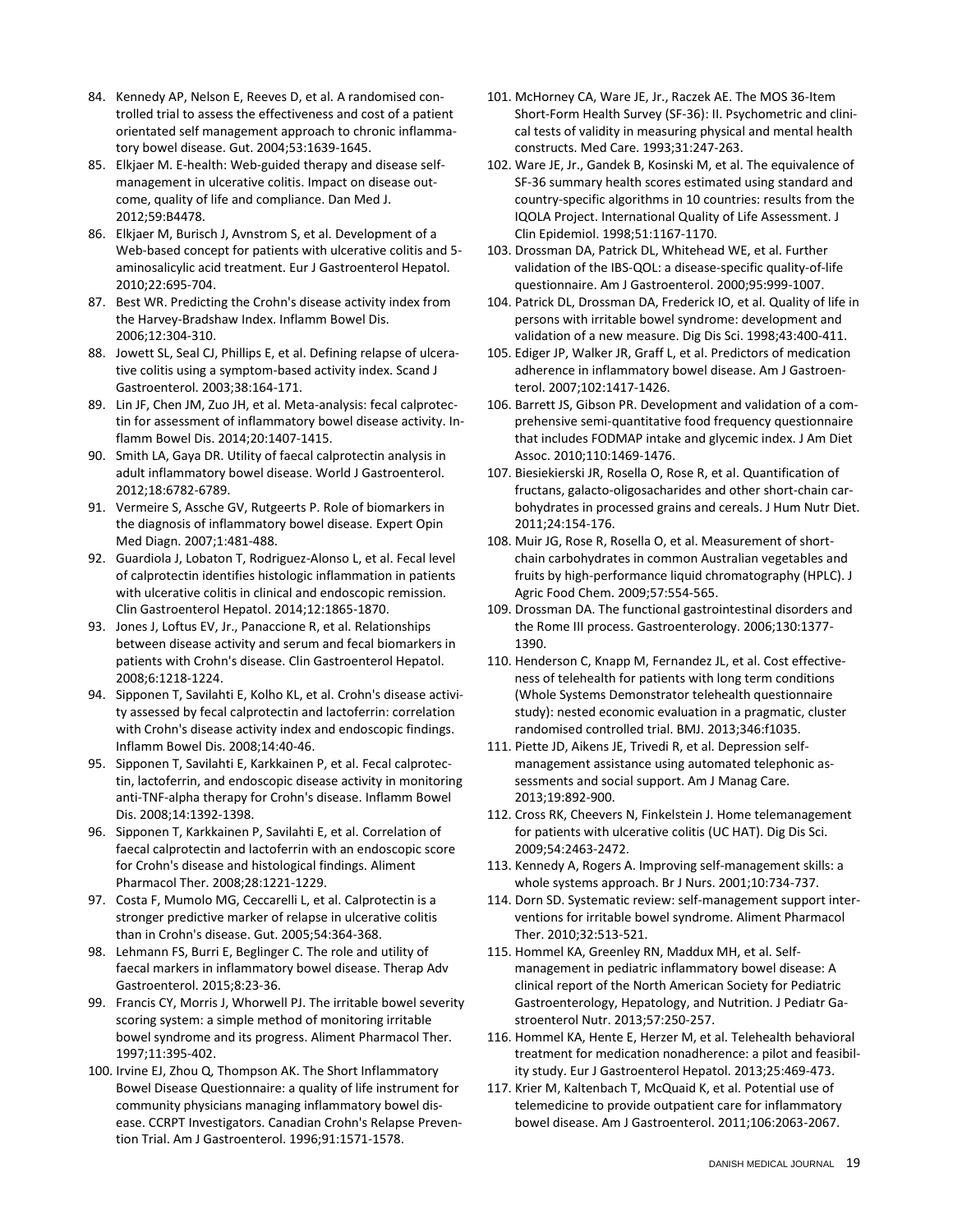- 84. Kennedy AP, Nelson E, Reeves D, et al. A randomised controlled trial to assess the effectiveness and cost of a patient orientated self management approach to chronic inflammatory bowel disease. Gut. 2004;53:1639-1645.
- 85. Elkjaer M. E-health: Web-guided therapy and disease selfmanagement in ulcerative colitis. Impact on disease outcome, quality of life and compliance. Dan Med J. 2012;59:B4478.
- 86. Elkjaer M, Burisch J, Avnstrom S, et al. Development of a Web-based concept for patients with ulcerative colitis and 5 aminosalicylic acid treatment. Eur J Gastroenterol Hepatol. 2010;22:695-704.
- 87. Best WR. Predicting the Crohn's disease activity index from the Harvey-Bradshaw Index. Inflamm Bowel Dis. 2006;12:304-310.
- 88. Jowett SL, Seal CJ, Phillips E, et al. Defining relapse of ulcerative colitis using a symptom-based activity index. Scand J Gastroenterol. 2003;38:164-171.
- 89. Lin JF, Chen JM, Zuo JH, et al. Meta-analysis: fecal calprotectin for assessment of inflammatory bowel disease activity. Inflamm Bowel Dis. 2014;20:1407-1415.
- 90. Smith LA, Gaya DR. Utility of faecal calprotectin analysis in adult inflammatory bowel disease. World J Gastroenterol. 2012;18:6782-6789.
- 91. Vermeire S, Assche GV, Rutgeerts P. Role of biomarkers in the diagnosis of inflammatory bowel disease. Expert Opin Med Diagn. 2007;1:481-488.
- 92. Guardiola J, Lobaton T, Rodriguez-Alonso L, et al. Fecal level of calprotectin identifies histologic inflammation in patients with ulcerative colitis in clinical and endoscopic remission. Clin Gastroenterol Hepatol. 2014;12:1865-1870.
- 93. Jones J, Loftus EV, Jr., Panaccione R, et al. Relationships between disease activity and serum and fecal biomarkers in patients with Crohn's disease. Clin Gastroenterol Hepatol. 2008;6:1218-1224.
- 94. Sipponen T, Savilahti E, Kolho KL, et al. Crohn's disease activity assessed by fecal calprotectin and lactoferrin: correlation with Crohn's disease activity index and endoscopic findings. Inflamm Bowel Dis. 2008;14:40-46.
- 95. Sipponen T, Savilahti E, Karkkainen P, et al. Fecal calprotectin, lactoferrin, and endoscopic disease activity in monitoring anti-TNF-alpha therapy for Crohn's disease. Inflamm Bowel Dis. 2008;14:1392-1398.
- 96. Sipponen T, Karkkainen P, Savilahti E, et al. Correlation of faecal calprotectin and lactoferrin with an endoscopic score for Crohn's disease and histological findings. Aliment Pharmacol Ther. 2008;28:1221-1229.
- 97. Costa F, Mumolo MG, Ceccarelli L, et al. Calprotectin is a stronger predictive marker of relapse in ulcerative colitis than in Crohn's disease. Gut. 2005;54:364-368.
- 98. Lehmann FS, Burri E, Beglinger C. The role and utility of faecal markers in inflammatory bowel disease. Therap Adv Gastroenterol. 2015;8:23-36.
- 99. Francis CY, Morris J, Whorwell PJ. The irritable bowel severity scoring system: a simple method of monitoring irritable bowel syndrome and its progress. Aliment Pharmacol Ther. 1997;11:395-402.
- 100. Irvine EJ, Zhou Q, Thompson AK. The Short Inflammatory Bowel Disease Questionnaire: a quality of life instrument for community physicians managing inflammatory bowel disease. CCRPT Investigators. Canadian Crohn's Relapse Prevention Trial. Am J Gastroenterol. 1996;91:1571-1578.
- 101. McHorney CA, Ware JE, Jr., Raczek AE. The MOS 36-Item Short-Form Health Survey (SF-36): II. Psychometric and clinical tests of validity in measuring physical and mental health constructs. Med Care. 1993;31:247-263.
- 102. Ware JE, Jr., Gandek B, Kosinski M, et al. The equivalence of SF-36 summary health scores estimated using standard and country-specific algorithms in 10 countries: results from the IQOLA Project. International Quality of Life Assessment. J Clin Epidemiol. 1998;51:1167-1170.
- 103. Drossman DA, Patrick DL, Whitehead WE, et al. Further validation of the IBS-QOL: a disease-specific quality-of-life questionnaire. Am J Gastroenterol. 2000;95:999-1007.
- 104. Patrick DL, Drossman DA, Frederick IO, et al. Quality of life in persons with irritable bowel syndrome: development and validation of a new measure. Dig Dis Sci. 1998;43:400-411.
- 105. Ediger JP, Walker JR, Graff L, et al. Predictors of medication adherence in inflammatory bowel disease. Am J Gastroenterol. 2007;102:1417-1426.
- 106. Barrett JS, Gibson PR. Development and validation of a comprehensive semi-quantitative food frequency questionnaire that includes FODMAP intake and glycemic index. J Am Diet Assoc. 2010;110:1469-1476.
- 107. Biesiekierski JR, Rosella O, Rose R, et al. Quantification of fructans, galacto-oligosacharides and other short-chain carbohydrates in processed grains and cereals. J Hum Nutr Diet. 2011;24:154-176.
- 108. Muir JG, Rose R, Rosella O, et al. Measurement of shortchain carbohydrates in common Australian vegetables and fruits by high-performance liquid chromatography (HPLC). J Agric Food Chem. 2009;57:554-565.
- 109. Drossman DA. The functional gastrointestinal disorders and the Rome III process. Gastroenterology. 2006;130:1377- 1390.
- 110. Henderson C, Knapp M, Fernandez JL, et al. Cost effectiveness of telehealth for patients with long term conditions (Whole Systems Demonstrator telehealth questionnaire study): nested economic evaluation in a pragmatic, cluster randomised controlled trial. BMJ. 2013;346:f1035.
- 111. Piette JD, Aikens JE, Trivedi R, et al. Depression selfmanagement assistance using automated telephonic assessments and social support. Am J Manag Care. 2013;19:892-900.
- 112. Cross RK, Cheevers N, Finkelstein J. Home telemanagement for patients with ulcerative colitis (UC HAT). Dig Dis Sci. 2009;54:2463-2472.
- 113. Kennedy A, Rogers A. Improving self-management skills: a whole systems approach. Br J Nurs. 2001;10:734-737.
- 114. Dorn SD. Systematic review: self-management support interventions for irritable bowel syndrome. Aliment Pharmacol Ther. 2010;32:513-521.
- 115. Hommel KA, Greenley RN, Maddux MH, et al. Selfmanagement in pediatric inflammatory bowel disease: A clinical report of the North American Society for Pediatric Gastroenterology, Hepatology, and Nutrition. J Pediatr Gastroenterol Nutr. 2013;57:250-257.
- 116. Hommel KA, Hente E, Herzer M, et al. Telehealth behavioral treatment for medication nonadherence: a pilot and feasibility study. Eur J Gastroenterol Hepatol. 2013;25:469-473.
- 117. Krier M, Kaltenbach T, McQuaid K, et al. Potential use of telemedicine to provide outpatient care for inflammatory bowel disease. Am J Gastroenterol. 2011;106:2063-2067.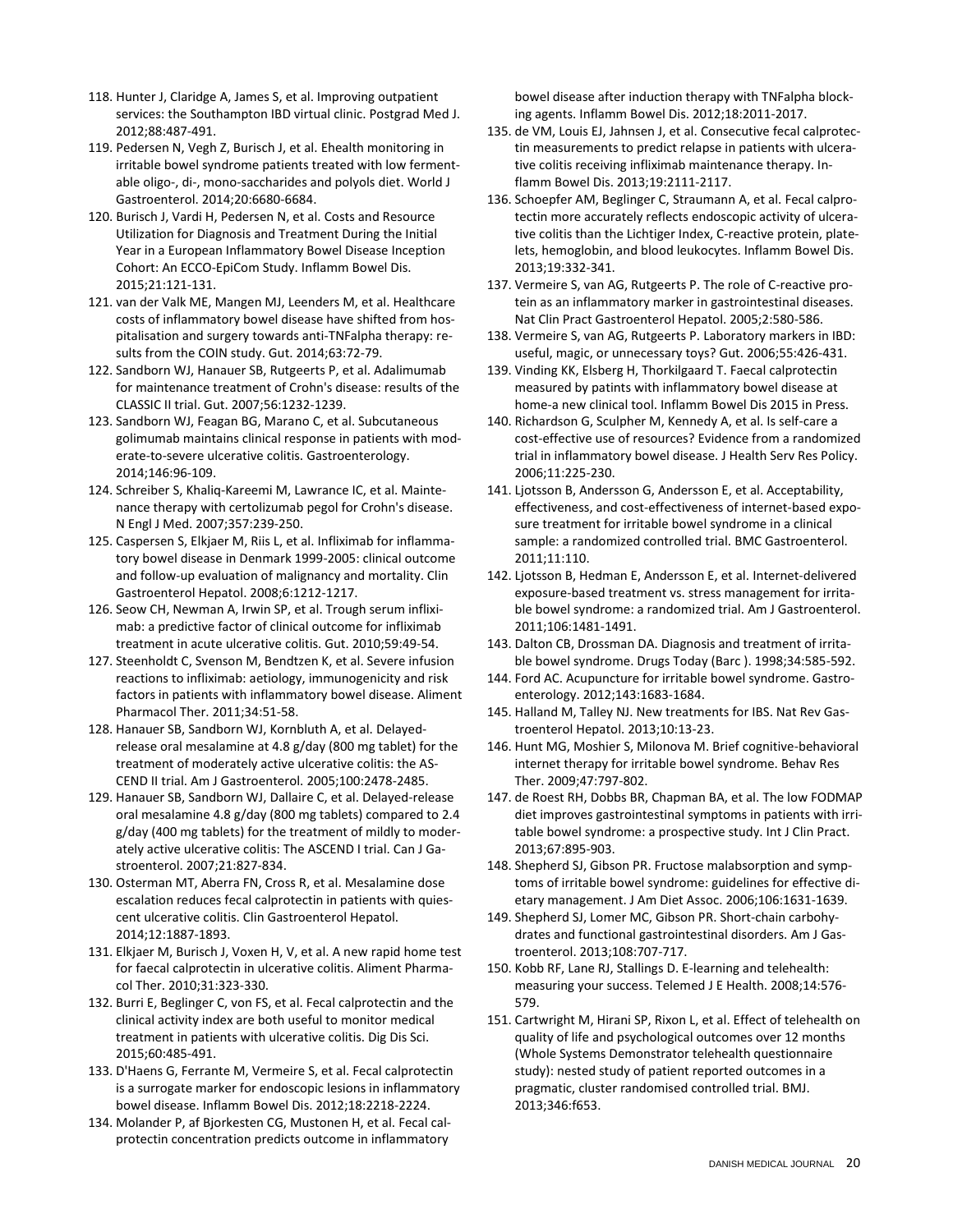- 118. Hunter J, Claridge A, James S, et al. Improving outpatient services: the Southampton IBD virtual clinic. Postgrad Med J. 2012;88:487-491.
- 119. Pedersen N, Vegh Z, Burisch J, et al. Ehealth monitoring in irritable bowel syndrome patients treated with low fermentable oligo-, di-, mono-saccharides and polyols diet. World J Gastroenterol. 2014;20:6680-6684.
- 120. Burisch J, Vardi H, Pedersen N, et al. Costs and Resource Utilization for Diagnosis and Treatment During the Initial Year in a European Inflammatory Bowel Disease Inception Cohort: An ECCO-EpiCom Study. Inflamm Bowel Dis. 2015;21:121-131.
- 121. van der Valk ME, Mangen MJ, Leenders M, et al. Healthcare costs of inflammatory bowel disease have shifted from hospitalisation and surgery towards anti-TNFalpha therapy: results from the COIN study. Gut. 2014;63:72-79.
- 122. Sandborn WJ, Hanauer SB, Rutgeerts P, et al. Adalimumab for maintenance treatment of Crohn's disease: results of the CLASSIC II trial. Gut. 2007;56:1232-1239.
- 123. Sandborn WJ, Feagan BG, Marano C, et al. Subcutaneous golimumab maintains clinical response in patients with moderate-to-severe ulcerative colitis. Gastroenterology. 2014;146:96-109.
- 124. Schreiber S, Khaliq-Kareemi M, Lawrance IC, et al. Maintenance therapy with certolizumab pegol for Crohn's disease. N Engl J Med. 2007;357:239-250.
- 125. Caspersen S, Elkjaer M, Riis L, et al. Infliximab for inflammatory bowel disease in Denmark 1999-2005: clinical outcome and follow-up evaluation of malignancy and mortality. Clin Gastroenterol Hepatol. 2008;6:1212-1217.
- 126. Seow CH, Newman A, Irwin SP, et al. Trough serum infliximab: a predictive factor of clinical outcome for infliximab treatment in acute ulcerative colitis. Gut. 2010;59:49-54.
- 127. Steenholdt C, Svenson M, Bendtzen K, et al. Severe infusion reactions to infliximab: aetiology, immunogenicity and risk factors in patients with inflammatory bowel disease. Aliment Pharmacol Ther. 2011;34:51-58.
- 128. Hanauer SB, Sandborn WJ, Kornbluth A, et al. Delayedrelease oral mesalamine at 4.8 g/day (800 mg tablet) for the treatment of moderately active ulcerative colitis: the AS-CEND II trial. Am J Gastroenterol. 2005;100:2478-2485.
- 129. Hanauer SB, Sandborn WJ, Dallaire C, et al. Delayed-release oral mesalamine 4.8 g/day (800 mg tablets) compared to 2.4 g/day (400 mg tablets) for the treatment of mildly to moderately active ulcerative colitis: The ASCEND I trial. Can J Gastroenterol. 2007;21:827-834.
- 130. Osterman MT, Aberra FN, Cross R, et al. Mesalamine dose escalation reduces fecal calprotectin in patients with quiescent ulcerative colitis. Clin Gastroenterol Hepatol. 2014;12:1887-1893.
- 131. Elkjaer M, Burisch J, Voxen H, V, et al. A new rapid home test for faecal calprotectin in ulcerative colitis. Aliment Pharmacol Ther. 2010;31:323-330.
- 132. Burri E, Beglinger C, von FS, et al. Fecal calprotectin and the clinical activity index are both useful to monitor medical treatment in patients with ulcerative colitis. Dig Dis Sci. 2015;60:485-491.
- 133. D'Haens G, Ferrante M, Vermeire S, et al. Fecal calprotectin is a surrogate marker for endoscopic lesions in inflammatory bowel disease. Inflamm Bowel Dis. 2012;18:2218-2224.
- 134. Molander P, af Bjorkesten CG, Mustonen H, et al. Fecal calprotectin concentration predicts outcome in inflammatory

bowel disease after induction therapy with TNFalpha blocking agents. Inflamm Bowel Dis. 2012;18:2011-2017.

- 135. de VM, Louis EJ, Jahnsen J, et al. Consecutive fecal calprotectin measurements to predict relapse in patients with ulcerative colitis receiving infliximab maintenance therapy. Inflamm Bowel Dis. 2013;19:2111-2117.
- 136. Schoepfer AM, Beglinger C, Straumann A, et al. Fecal calprotectin more accurately reflects endoscopic activity of ulcerative colitis than the Lichtiger Index, C-reactive protein, platelets, hemoglobin, and blood leukocytes. Inflamm Bowel Dis. 2013;19:332-341.
- 137. Vermeire S, van AG, Rutgeerts P. The role of C-reactive protein as an inflammatory marker in gastrointestinal diseases. Nat Clin Pract Gastroenterol Hepatol. 2005;2:580-586.
- 138. Vermeire S, van AG, Rutgeerts P. Laboratory markers in IBD: useful, magic, or unnecessary toys? Gut. 2006;55:426-431.
- 139. Vinding KK, Elsberg H, Thorkilgaard T. Faecal calprotectin measured by patints with inflammatory bowel disease at home-a new clinical tool. Inflamm Bowel Dis 2015 in Press.
- 140. Richardson G, Sculpher M, Kennedy A, et al. Is self-care a cost-effective use of resources? Evidence from a randomized trial in inflammatory bowel disease. J Health Serv Res Policy. 2006;11:225-230.
- 141. Ljotsson B, Andersson G, Andersson E, et al. Acceptability, effectiveness, and cost-effectiveness of internet-based exposure treatment for irritable bowel syndrome in a clinical sample: a randomized controlled trial. BMC Gastroenterol. 2011;11:110.
- 142. Ljotsson B, Hedman E, Andersson E, et al. Internet-delivered exposure-based treatment vs. stress management for irritable bowel syndrome: a randomized trial. Am J Gastroenterol. 2011;106:1481-1491.
- 143. Dalton CB, Drossman DA. Diagnosis and treatment of irritable bowel syndrome. Drugs Today (Barc ). 1998;34:585-592.
- 144. Ford AC. Acupuncture for irritable bowel syndrome. Gastroenterology. 2012;143:1683-1684.
- 145. Halland M, Talley NJ. New treatments for IBS. Nat Rev Gastroenterol Hepatol. 2013;10:13-23.
- 146. Hunt MG, Moshier S, Milonova M. Brief cognitive-behavioral internet therapy for irritable bowel syndrome. Behav Res Ther. 2009;47:797-802.
- 147. de Roest RH, Dobbs BR, Chapman BA, et al. The low FODMAP diet improves gastrointestinal symptoms in patients with irritable bowel syndrome: a prospective study. Int J Clin Pract. 2013;67:895-903.
- 148. Shepherd SJ, Gibson PR. Fructose malabsorption and symptoms of irritable bowel syndrome: guidelines for effective dietary management. J Am Diet Assoc. 2006;106:1631-1639.
- 149. Shepherd SJ, Lomer MC, Gibson PR. Short-chain carbohydrates and functional gastrointestinal disorders. Am J Gastroenterol. 2013;108:707-717.
- 150. Kobb RF, Lane RJ, Stallings D. E-learning and telehealth: measuring your success. Telemed J E Health. 2008;14:576- 579.
- 151. Cartwright M, Hirani SP, Rixon L, et al. Effect of telehealth on quality of life and psychological outcomes over 12 months (Whole Systems Demonstrator telehealth questionnaire study): nested study of patient reported outcomes in a pragmatic, cluster randomised controlled trial. BMJ. 2013;346:f653.